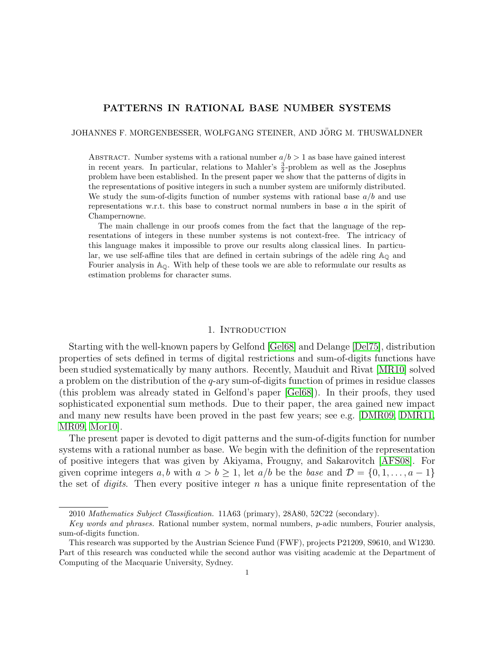# PATTERNS IN RATIONAL BASE NUMBER SYSTEMS

JOHANNES F. MORGENBESSER, WOLFGANG STEINER, AND JÖRG M. THUSWALDNER

ABSTRACT. Number systems with a rational number  $a/b > 1$  as base have gained interest in recent years. In particular, relations to Mahler's  $\frac{3}{2}$ -problem as well as the Josephus problem have been established. In the present paper we show that the patterns of digits in the representations of positive integers in such a number system are uniformly distributed. We study the sum-of-digits function of number systems with rational base  $a/b$  and use representations w.r.t. this base to construct normal numbers in base  $a$  in the spirit of Champernowne.

The main challenge in our proofs comes from the fact that the language of the representations of integers in these number systems is not context-free. The intricacy of this language makes it impossible to prove our results along classical lines. In particular, we use self-affine tiles that are defined in certain subrings of the adèle ring  $\mathbb{A}_{\mathbb{Q}}$  and Fourier analysis in  $\mathbb{A}_{\mathbb{Q}}$ . With help of these tools we are able to reformulate our results as estimation problems for character sums.

#### 1. INTRODUCTION

Starting with the well-known papers by Gelfond [\[Gel68\]](#page-22-0) and Delange [\[Del75\]](#page-21-0), distribution properties of sets defined in terms of digital restrictions and sum-of-digits functions have been studied systematically by many authors. Recently, Mauduit and Rivat [\[MR10\]](#page-22-1) solved a problem on the distribution of the  $q$ -ary sum-of-digits function of primes in residue classes (this problem was already stated in Gelfond's paper [\[Gel68\]](#page-22-0)). In their proofs, they used sophisticated exponential sum methods. Due to their paper, the area gained new impact and many new results have been proved in the past few years; see e.g. [\[DMR09,](#page-21-1) [DMR11,](#page-22-2) [MR09,](#page-22-3) [Mor10\]](#page-22-4).

The present paper is devoted to digit patterns and the sum-of-digits function for number systems with a rational number as base. We begin with the definition of the representation of positive integers that was given by Akiyama, Frougny, and Sakarovitch [\[AFS08\]](#page-21-2). For given coprime integers a, b with  $a > b \ge 1$ , let  $a/b$  be the base and  $\mathcal{D} = \{0, 1, \ldots, a - 1\}$ the set of *digits*. Then every positive integer  $n$  has a unique finite representation of the

<sup>2010</sup> Mathematics Subject Classification. 11A63 (primary), 28A80, 52C22 (secondary).

Key words and phrases. Rational number system, normal numbers, p-adic numbers, Fourier analysis, sum-of-digits function.

This research was supported by the Austrian Science Fund (FWF), projects P21209, S9610, and W1230. Part of this research was conducted while the second author was visiting academic at the Department of Computing of the Macquarie University, Sydney.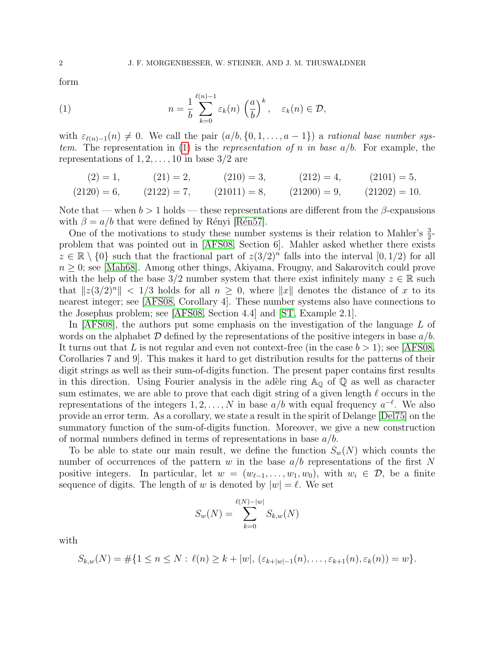form

<span id="page-1-0"></span>(1) 
$$
n = \frac{1}{b} \sum_{k=0}^{\ell(n)-1} \varepsilon_k(n) \left(\frac{a}{b}\right)^k, \quad \varepsilon_k(n) \in \mathcal{D},
$$

with  $\varepsilon_{\ell(n)-1}(n) \neq 0$ . We call the pair  $(a/b, \{0, 1, \ldots, a - 1\})$  a rational base number sys-tem. The representation in [\(1\)](#page-1-0) is the *representation of n in base*  $a/b$ . For example, the representations of  $1, 2, \ldots, 10$  in base  $3/2$  are

$$
(2) = 1, \t(21) = 2, \t(210) = 3, \t(212) = 4, \t(2101) = 5, (2120) = 6, \t(2122) = 7, \t(21011) = 8, \t(21200) = 9, \t(21202) = 10.
$$

Note that — when  $b > 1$  holds — these representations are different from the  $\beta$ -expansions with  $\beta = a/b$  that were defined by Rényi [Rén57].

One of the motivations to study these number systems is their relation to Mahler's  $\frac{3}{2}$ problem that was pointed out in [\[AFS08,](#page-21-2) Section 6]. Mahler asked whether there exists  $z \in \mathbb{R} \setminus \{0\}$  such that the fractional part of  $z(3/2)^n$  falls into the interval  $[0, 1/2)$  for all  $n \geq 0$ ; see [\[Mah68\]](#page-22-6). Among other things, Akiyama, Frougny, and Sakarovitch could prove with the help of the base 3/2 number system that there exist infinitely many  $z \in \mathbb{R}$  such that  $||z(3/2)^n|| < 1/3$  holds for all  $n \geq 0$ , where  $||x||$  denotes the distance of x to its nearest integer; see [\[AFS08,](#page-21-2) Corollary 4]. These number systems also have connections to the Josephus problem; see [\[AFS08,](#page-21-2) Section 4.4] and [\[ST,](#page-22-7) Example 2.1].

In [\[AFS08\]](#page-21-2), the authors put some emphasis on the investigation of the language L of words on the alphabet  $D$  defined by the representations of the positive integers in base  $a/b$ . It turns out that L is not regular and even not context-free (in the case  $b > 1$ ); see [\[AFS08,](#page-21-2) Corollaries 7 and 9]. This makes it hard to get distribution results for the patterns of their digit strings as well as their sum-of-digits function. The present paper contains first results in this direction. Using Fourier analysis in the adèle ring  $\mathbb{A}_{\mathbb{Q}}$  of  $\mathbb{Q}$  as well as character sum estimates, we are able to prove that each digit string of a given length  $\ell$  occurs in the representations of the integers  $1, 2, ..., N$  in base  $a/b$  with equal frequency  $a^{-\ell}$ . We also provide an error term. As a corollary, we state a result in the spirit of Delange [\[Del75\]](#page-21-0) on the summatory function of the sum-of-digits function. Moreover, we give a new construction of normal numbers defined in terms of representations in base  $a/b$ .

To be able to state our main result, we define the function  $S_w(N)$  which counts the number of occurrences of the pattern w in the base  $a/b$  representations of the first N positive integers. In particular, let  $w = (w_{\ell-1}, \ldots, w_1, w_0)$ , with  $w_i \in \mathcal{D}$ , be a finite sequence of digits. The length of w is denoted by  $|w| = \ell$ . We set

$$
S_w(N) = \sum_{k=0}^{\ell(N)-|w|} S_{k,w}(N)
$$

with

$$
S_{k,w}(N) = \#\{1 \le n \le N : \ell(n) \ge k + |w|, (\varepsilon_{k+|w|-1}(n), \ldots, \varepsilon_{k+1}(n), \varepsilon_k(n)) = w\}.
$$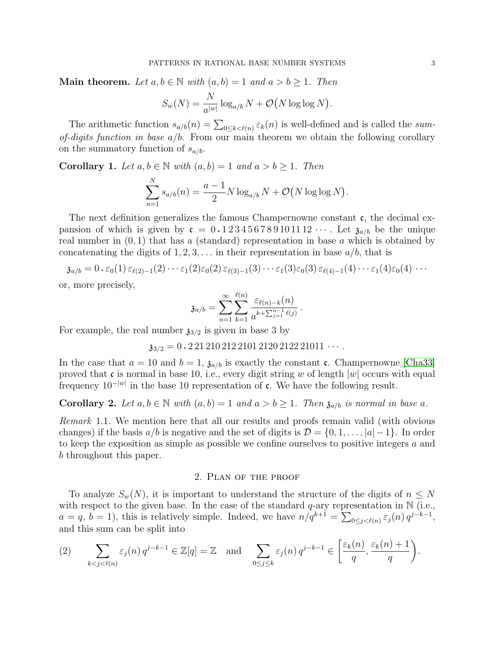**Main theorem.** Let  $a, b \in \mathbb{N}$  with  $(a, b) = 1$  and  $a > b \ge 1$ . Then

$$
S_w(N) = \frac{N}{a^{|w|}} \log_{a/b} N + \mathcal{O}(N \log \log N).
$$

The arithmetic function  $s_{a/b}(n) = \sum_{0 \le k < \ell(n)} \varepsilon_k(n)$  is well-defined and is called the sumof-digits function in base  $a/b$ . From our main theorem we obtain the following corollary on the summatory function of  $s_{a/b}$ .

<span id="page-2-1"></span>**Corollary 1.** Let  $a, b \in \mathbb{N}$  with  $(a, b) = 1$  and  $a > b \ge 1$ . Then

$$
\sum_{n=1}^{N} s_{a/b}(n) = \frac{a-1}{2} N \log_{a/b} N + \mathcal{O}(N \log \log N).
$$

The next definition generalizes the famous Champernowne constant  $\mathfrak{c}$ , the decimal expansion of which is given by  $c = 0.123456789101112 \cdots$ . Let  $\mathfrak{z}_{a/b}$  be the unique real number in  $(0, 1)$  that has a (standard) representation in base a which is obtained by concatenating the digits of  $1, 2, 3, \ldots$  in their representation in base  $a/b$ , that is

$$
\mathfrak{z}_{a/b} = 0 \cdot \varepsilon_0(1) \, \varepsilon_{\ell(2)-1}(2) \cdots \varepsilon_1(2) \varepsilon_0(2) \, \varepsilon_{\ell(3)-1}(3) \cdots \varepsilon_1(3) \varepsilon_0(3) \, \varepsilon_{\ell(4)-1}(4) \cdots \varepsilon_1(4) \varepsilon_0(4) \cdots
$$

or, more precisely,

$$
\mathfrak{z}_{a/b}=\sum_{n=1}^{\infty}\sum_{k=1}^{\ell(n)}\frac{\varepsilon_{\ell(n)-k}(n)}{a^{k+\sum_{j=1}^{n-1}\ell(j)}}.
$$

For example, the real number  $\mathfrak{z}_{3/2}$  is given in base 3 by

 $\mathfrak{z}_{3/2} = 0.22121021221012120212221011 \cdots$ 

In the case that  $a = 10$  and  $b = 1$ ,  $\mathfrak{z}_{a/b}$  is exactly the constant c. Champernowne [\[Cha33\]](#page-21-3) proved that c is normal in base 10, i.e., every digit string w of length  $|w|$  occurs with equal frequency  $10^{-|w|}$  in the base 10 representation of c. We have the following result.

<span id="page-2-2"></span>**Corollary 2.** Let  $a, b \in \mathbb{N}$  with  $(a, b) = 1$  and  $a > b \ge 1$ . Then  $\mathfrak{z}_{a/b}$  is normal in base a.

Remark 1.1. We mention here that all our results and proofs remain valid (with obvious changes) if the basis  $a/b$  is negative and the set of digits is  $\mathcal{D} = \{0, 1, \ldots, |a| - 1\}$ . In order to keep the exposition as simple as possible we confine ourselves to positive integers a and b throughout this paper.

### 2. Plan of the proof

To analyze  $S_w(N)$ , it is important to understand the structure of the digits of  $n \leq N$ with respect to the given base. In the case of the standard  $q$ -ary representation in  $\mathbb N$  (i.e.,  $a = q, b = 1$ , this is relatively simple. Indeed, we have  $n/q^{k+1} = \sum_{0 \leq j < \ell(n)} \varepsilon_j(n) q^{j-k-1}$ , and this sum can be split into

<span id="page-2-0"></span>
$$
(2) \qquad \sum_{k < j < \ell(n)} \varepsilon_j(n) \, q^{j-k-1} \in \mathbb{Z}[q] = \mathbb{Z} \quad \text{and} \quad \sum_{0 \le j \le k} \varepsilon_j(n) \, q^{j-k-1} \in \left[ \frac{\varepsilon_k(n)}{q}, \frac{\varepsilon_k(n)+1}{q} \right).
$$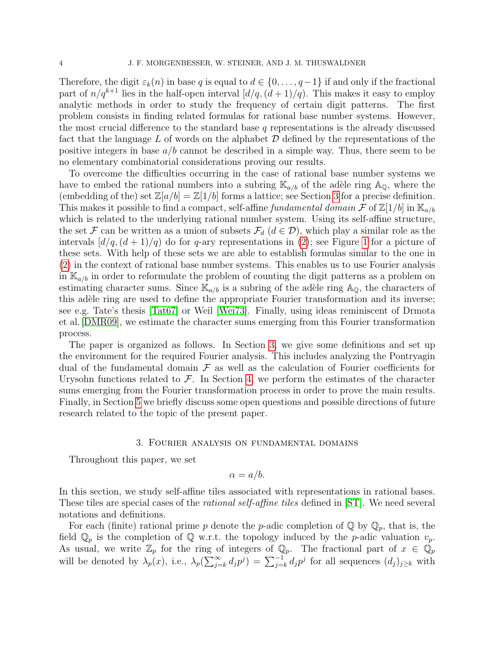Therefore, the digit  $\varepsilon_k(n)$  in base q is equal to  $d \in \{0, \ldots, q-1\}$  if and only if the fractional part of  $n/q^{k+1}$  lies in the half-open interval  $\left[\frac{d}{q}(d+1)/q\right]$ . This makes it easy to employ analytic methods in order to study the frequency of certain digit patterns. The first problem consists in finding related formulas for rational base number systems. However, the most crucial difference to the standard base  $q$  representations is the already discussed fact that the language  $L$  of words on the alphabet  $\mathcal D$  defined by the representations of the positive integers in base  $a/b$  cannot be described in a simple way. Thus, there seem to be no elementary combinatorial considerations proving our results.

To overcome the difficulties occurring in the case of rational base number systems we have to embed the rational numbers into a subring  $\mathbb{K}_{a/b}$  of the adèle ring  $\mathbb{A}_{\mathbb{Q}}$ , where the (embedding of the) set  $\mathbb{Z}[a/b] = \mathbb{Z}[1/b]$  forms a lattice; see Section [3](#page-3-0) for a precise definition. This makes it possible to find a compact, self-affine fundamental domain F of  $\mathbb{Z}[1/b]$  in  $\mathbb{K}_{a/b}$ which is related to the underlying rational number system. Using its self-affine structure, the set F can be written as a union of subsets  $\mathcal{F}_d$   $(d \in \mathcal{D})$ , which play a similar role as the intervals  $\left[\frac{d}{q}(d+1)/q\right]$  do for q-ary representations in [\(2\)](#page-2-0); see Figure [1](#page-5-0) for a picture of these sets. With help of these sets we are able to establish formulas similar to the one in [\(2\)](#page-2-0) in the context of rational base number systems. This enables us to use Fourier analysis in  $\mathbb{K}_{a/b}$  in order to reformulate the problem of counting the digit patterns as a problem on estimating character sums. Since  $\mathbb{K}_{a/b}$  is a subring of the adèle ring  $\mathbb{A}_{\mathbb{Q}}$ , the characters of this adèle ring are used to define the appropriate Fourier transformation and its inverse; see e.g. Tate's thesis [\[Tat67\]](#page-22-8) or Weil [\[Wei73\]](#page-22-9). Finally, using ideas reminiscent of Drmota et al.[\[DMR09\]](#page-21-1), we estimate the character sums emerging from this Fourier transformation process.

The paper is organized as follows. In Section [3,](#page-3-0) we give some definitions and set up the environment for the required Fourier analysis. This includes analyzing the Pontryagin dual of the fundamental domain  $\mathcal F$  as well as the calculation of Fourier coefficients for Urysohn functions related to  $\mathcal{F}$ . In Section [4,](#page-12-0) we perform the estimates of the character sums emerging from the Fourier transformation process in order to prove the main results. Finally, in Section [5](#page-20-0) we briefly discuss some open questions and possible directions of future research related to the topic of the present paper.

# 3. Fourier analysis on fundamental domains

<span id="page-3-0"></span>Throughout this paper, we set

$$
\alpha = a/b.
$$

In this section, we study self-affine tiles associated with representations in rational bases. These tiles are special cases of the rational self-affine tiles defined in [\[ST\]](#page-22-7). We need several notations and definitions.

For each (finite) rational prime p denote the p-adic completion of  $\mathbb{Q}$  by  $\mathbb{Q}_p$ , that is, the field  $\mathbb{Q}_p$  is the completion of  $\mathbb Q$  w.r.t. the topology induced by the p-adic valuation  $v_p$ . As usual, we write  $\mathbb{Z}_p$  for the ring of integers of  $\mathbb{Q}_p$ . The fractional part of  $x \in \mathbb{Q}_p$ will be denoted by  $\lambda_p(x)$ , i.e.,  $\lambda_p(\sum_{j=k}^{\infty} d_j p^j) = \sum_{j=k}^{-1} d_j p^j$  for all sequences  $(d_j)_{j\geq k}$  with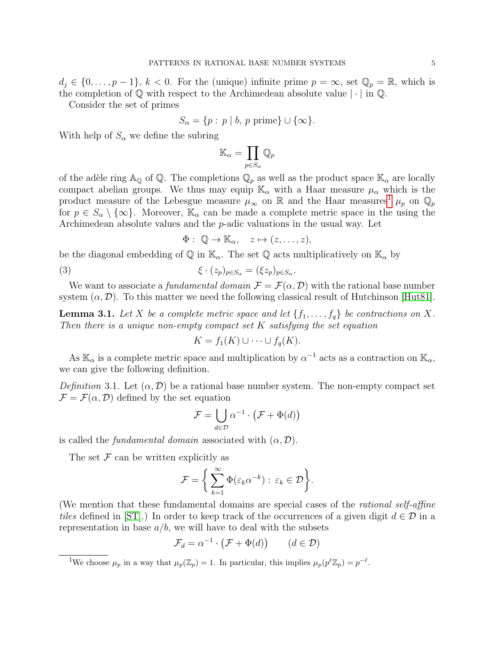$d_i \in \{0, \ldots, p-1\}, k < 0$ . For the (unique) infinite prime  $p = \infty$ , set  $\mathbb{Q}_p = \mathbb{R}$ , which is the completion of  $\mathbb Q$  with respect to the Archimedean absolute value  $|\cdot|$  in  $\mathbb Q$ .

Consider the set of primes

$$
S_{\alpha} = \{p : p \mid b, p \text{ prime}\} \cup \{\infty\}.
$$

With help of  $S_{\alpha}$  we define the subring

$$
\mathbb{K}_\alpha=\prod_{p\in S_\alpha}\mathbb{Q}_p
$$

of the adèle ring  $\mathbb{A}_{\mathbb{Q}}$  of  $\mathbb{Q}$ . The completions  $\mathbb{Q}_p$  as well as the product space  $\mathbb{K}_{\alpha}$  are locally compact abelian groups. We thus may equip  $\mathbb{K}_{\alpha}$  with a Haar measure  $\mu_{\alpha}$  which is the product measure of the Lebesgue measure  $\mu_{\infty}$  on R and the Haar measures<sup>[1](#page-4-0)</sup>  $\mu_p$  on  $\mathbb{Q}_p$ for  $p \in S_\alpha \setminus \{\infty\}$ . Moreover,  $\mathbb{K}_\alpha$  can be made a complete metric space in the using the Archimedean absolute values and the p-adic valuations in the usual way. Let

$$
\Phi: \ \mathbb{Q} \to \mathbb{K}_{\alpha}, \quad z \mapsto (z, \ldots, z),
$$

be the diagonal embedding of  $\mathbb{Q}$  in  $\mathbb{K}_{\alpha}$ . The set  $\mathbb{Q}$  acts multiplicatively on  $\mathbb{K}_{\alpha}$  by

(3) 
$$
\xi \cdot (z_p)_{p \in S_\alpha} = (\xi z_p)_{p \in S_\alpha}.
$$

We want to associate a fundamental domain  $\mathcal{F} = \mathcal{F}(\alpha, \mathcal{D})$  with the rational base number system  $(\alpha, \mathcal{D})$ . To this matter we need the following classical result of Hutchinson [\[Hut81\]](#page-22-10).

**Lemma 3.1.** Let X be a complete metric space and let  $\{f_1, \ldots, f_q\}$  be contractions on X. Then there is a unique non-empty compact set  $K$  satisfying the set equation

$$
K = f_1(K) \cup \cdots \cup f_q(K).
$$

As  $\mathbb{K}_{\alpha}$  is a complete metric space and multiplication by  $\alpha^{-1}$  acts as a contraction on  $\mathbb{K}_{\alpha}$ , we can give the following definition.

Definition 3.1. Let  $(\alpha, \mathcal{D})$  be a rational base number system. The non-empty compact set  $\mathcal{F} = \mathcal{F}(\alpha, \mathcal{D})$  defined by the set equation

$$
\mathcal{F} = \bigcup_{d \in \mathcal{D}} \alpha^{-1} \cdot \left( \mathcal{F} + \Phi(d) \right)
$$

is called the *fundamental domain* associated with  $(\alpha, \mathcal{D})$ .

The set  $\mathcal F$  can be written explicitly as

$$
\mathcal{F} = \left\{ \sum_{k=1}^{\infty} \Phi(\varepsilon_k \alpha^{-k}) : \, \varepsilon_k \in \mathcal{D} \right\}.
$$

(We mention that these fundamental domains are special cases of the rational self-affine tiles defined in [\[ST\]](#page-22-7).) In order to keep track of the occurrences of a given digit  $d \in \mathcal{D}$  in a representation in base  $a/b$ , we will have to deal with the subsets

$$
\mathcal{F}_d = \alpha^{-1} \cdot (\mathcal{F} + \Phi(d)) \qquad (d \in \mathcal{D})
$$

<span id="page-4-0"></span><sup>1</sup>We choose  $\mu_p$  in a way that  $\mu_p(\mathbb{Z}_p) = 1$ . In particular, this implies  $\mu_p(p^{\ell}\mathbb{Z}_p) = p^{-\ell}$ .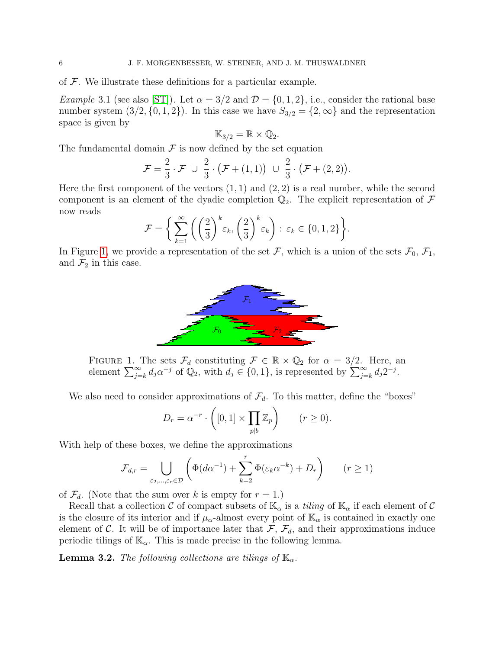of  $F$ . We illustrate these definitions for a particular example.

*Example* 3.1 (see also [\[ST\]](#page-22-7)). Let  $\alpha = 3/2$  and  $\mathcal{D} = \{0, 1, 2\}$ , i.e., consider the rational base number system  $(3/2, \{0, 1, 2\})$ . In this case we have  $S_{3/2} = \{2, \infty\}$  and the representation space is given by

$$
\mathbb{K}_{3/2}=\mathbb{R}\times\mathbb{Q}_2.
$$

The fundamental domain  $\mathcal F$  is now defined by the set equation

$$
\mathcal{F} = \frac{2}{3} \cdot \mathcal{F} \cup \frac{2}{3} \cdot (\mathcal{F} + (1,1)) \cup \frac{2}{3} \cdot (\mathcal{F} + (2,2)).
$$

Here the first component of the vectors  $(1, 1)$  and  $(2, 2)$  is a real number, while the second component is an element of the dyadic completion  $\mathbb{Q}_2$ . The explicit representation of F now reads

$$
\mathcal{F} = \left\{ \sum_{k=1}^{\infty} \left( \left( \frac{2}{3} \right)^k \varepsilon_k, \left( \frac{2}{3} \right)^k \varepsilon_k \right) : \, \varepsilon_k \in \{0, 1, 2\} \right\}.
$$

In Figure [1,](#page-5-0) we provide a representation of the set F, which is a union of the sets  $\mathcal{F}_0$ ,  $\mathcal{F}_1$ , and  $\mathcal{F}_2$  in this case.



<span id="page-5-0"></span>FIGURE 1. The sets  $\mathcal{F}_d$  constituting  $\mathcal{F} \in \mathbb{R} \times \mathbb{Q}_2$  for  $\alpha = 3/2$ . Here, an element  $\sum_{j=k}^{\infty} d_j \alpha^{-j}$  of  $\mathbb{Q}_2$ , with  $d_j \in \{0, 1\}$ , is represented by  $\sum_{j=k}^{\infty} d_j 2^{-j}$ .

We also need to consider approximations of  $\mathcal{F}_d$ . To this matter, define the "boxes"

$$
D_r = \alpha^{-r} \cdot \left( [0,1] \times \prod_{p|b} \mathbb{Z}_p \right) \qquad (r \ge 0).
$$

With help of these boxes, we define the approximations

$$
\mathcal{F}_{d,r} = \bigcup_{\varepsilon_2,\dots,\varepsilon_r \in \mathcal{D}} \left( \Phi(d\alpha^{-1}) + \sum_{k=2}^r \Phi(\varepsilon_k \alpha^{-k}) + D_r \right) \qquad (r \ge 1)
$$

of  $\mathcal{F}_d$ . (Note that the sum over k is empty for  $r = 1$ .)

Recall that a collection C of compact subsets of  $\mathbb{K}_{\alpha}$  is a *tiling* of  $\mathbb{K}_{\alpha}$  if each element of C is the closure of its interior and if  $\mu_{\alpha}$ -almost every point of  $\mathbb{K}_{\alpha}$  is contained in exactly one element of C. It will be of importance later that  $\mathcal{F}, \mathcal{F}_d$ , and their approximations induce periodic tilings of  $\mathbb{K}_{\alpha}$ . This is made precise in the following lemma.

<span id="page-5-1"></span>**Lemma 3.2.** The following collections are tilings of  $\mathbb{K}_{\alpha}$ .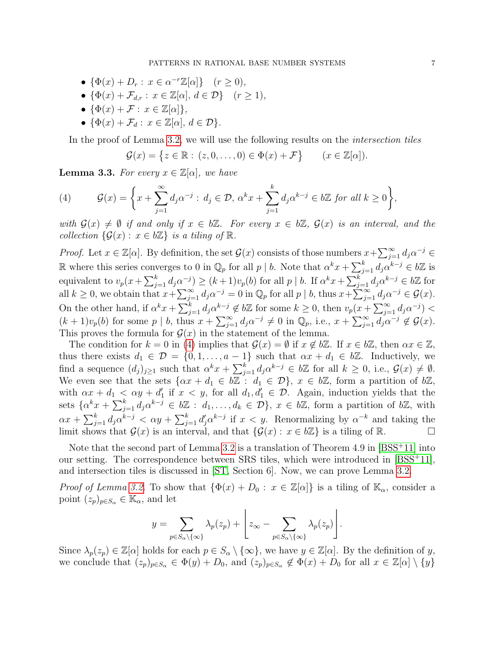- $\{\Phi(x) + D_r : x \in \alpha^{-r}\mathbb{Z}[\alpha]\}$   $(r \ge 0)$ ,
- $\{\Phi(x) + \mathcal{F}_{d,r} : x \in \mathbb{Z}[\alpha], d \in \mathcal{D}\}\$   $(r \geq 1),$
- $\{\Phi(x) + \mathcal{F}: x \in \mathbb{Z}[\alpha]\},\$
- $\{\Phi(x) + \mathcal{F}_d : x \in \mathbb{Z}[\alpha], d \in \mathcal{D}\}.$

In the proof of Lemma [3.2,](#page-5-1) we will use the following results on the *intersection tiles* 

 $\mathcal{G}(x) = \{ z \in \mathbb{R} : (z, 0, \dots, 0) \in \Phi(x) + \mathcal{F} \}$   $(x \in \mathbb{Z}[\alpha]).$ 

<span id="page-6-1"></span>**Lemma 3.3.** For every  $x \in \mathbb{Z}[\alpha]$ , we have

<span id="page-6-0"></span>(4) 
$$
\mathcal{G}(x) = \left\{ x + \sum_{j=1}^{\infty} d_j \alpha^{-j} : d_j \in \mathcal{D}, \, \alpha^k x + \sum_{j=1}^k d_j \alpha^{k-j} \in b\mathbb{Z} \text{ for all } k \ge 0 \right\},
$$

with  $G(x) \neq \emptyset$  if and only if  $x \in b\mathbb{Z}$ . For every  $x \in b\mathbb{Z}$ ,  $G(x)$  is an interval, and the collection  $\{\mathcal{G}(x): x \in b\mathbb{Z}\}\$ is a tiling of  $\mathbb{R}$ .

*Proof.* Let  $x \in \mathbb{Z}[\alpha]$ . By definition, the set  $\mathcal{G}(x)$  consists of those numbers  $x + \sum_{j=1}^{\infty} d_j \alpha^{-j} \in$ R where this series converges to 0 in  $\mathbb{Q}_p$  for all  $p \mid b$ . Note that  $\alpha^k x + \sum_{j=1}^k d_j \alpha^{k-j} \in b\mathbb{Z}$  is equivalent to  $v_p(x+\sum_{j=1}^k d_j\alpha^{-j}) \ge (k+1)v_p(b)$  for all  $p \mid b$ . If  $\alpha^k x + \sum_{j=1}^k d_j\alpha^{k-j} \in b\mathbb{Z}$  for all  $k \geq 0$ , we obtain that  $x + \sum_{j=1}^{\infty} d_j \alpha^{-j} = 0$  in  $\mathbb{Q}_p$  for all  $p \mid b$ , thus  $x + \sum_{j=1}^{\infty} d_j \alpha^{-j} \in \mathcal{G}(x)$ . On the other hand, if  $\alpha^k x + \sum_{j=1}^k d_j \alpha^{k-j} \notin b\mathbb{Z}$  for some  $k \geq 0$ , then  $v_p(x + \sum_{j=1}^\infty d_j \alpha^{-j})$  $(k+1)v_p(b)$  for some  $p \mid b$ , thus  $x + \sum_{j=1}^{\infty} d_j \alpha^{-j} \neq 0$  in  $\mathbb{Q}_p$ , i.e.,  $x + \sum_{j=1}^{\infty} d_j \alpha^{-j} \neq \mathcal{G}(x)$ . This proves the formula for  $\mathcal{G}(x)$  in the statement of the lemma.

The condition for  $k = 0$  in [\(4\)](#page-6-0) implies that  $\mathcal{G}(x) = \emptyset$  if  $x \notin b\mathbb{Z}$ . If  $x \in b\mathbb{Z}$ , then  $\alpha x \in \mathbb{Z}$ , thus there exists  $d_1 \in \mathcal{D} = \{0, 1, \ldots, a-1\}$  such that  $\alpha x + d_1 \in b\mathbb{Z}$ . Inductively, we find a sequence  $(d_j)_{j\geq 1}$  such that  $\alpha^k x + \sum_{j=1}^k d_j \alpha^{k-j} \in b\mathbb{Z}$  for all  $k \geq 0$ , i.e.,  $\mathcal{G}(x) \neq \emptyset$ . We even see that the sets  $\{\alpha x + d_1 \in b\mathbb{Z} : d_1 \in \mathcal{D}\}, x \in b\mathbb{Z}$ , form a partition of  $b\mathbb{Z}$ , with  $\alpha x + d_1 < \alpha y + d'_1$  if  $x < y$ , for all  $d_1, d'_1 \in \mathcal{D}$ . Again, induction yields that the sets  $\{\alpha^k x + \sum_{j=1}^k d_j \alpha^{k-j} \in b\mathbb{Z} : d_1, \ldots, d_k \in \mathcal{D}\}, x \in b\mathbb{Z}$ , form a partition of  $b\mathbb{Z}$ , with  $\alpha x + \sum_{j=1}^k d_j \alpha^{k-j} < \alpha y + \sum_{j=1}^k d'_j \alpha^{k-j}$  if  $x < y$ . Renormalizing by  $\alpha^{-k}$  and taking the limit shows that  $\mathcal{G}(x)$  is an interval, and that  $\{\mathcal{G}(x): x \in b\mathbb{Z}\}\$ is a tiling of R.

Note that the second part of Lemma [3.2](#page-5-1) is a translation of Theorem 4.9 in [\[BSS](#page-21-4)<sup>+</sup>11] into our setting. The correspondence between SRS tiles, which were introduced in [\[BSS](#page-21-4)<sup>+</sup>11], and intersection tiles is discussed in [\[ST,](#page-22-7) Section 6]. Now, we can prove Lemma [3.2.](#page-5-1)

*Proof of Lemma [3.2.](#page-5-1)* To show that  $\{\Phi(x) + D_0 : x \in \mathbb{Z}[\alpha]\}\$ is a tiling of  $\mathbb{K}_{\alpha}$ , consider a point  $(z_p)_{p\in S_\alpha} \in \mathbb{K}_\alpha$ , and let

$$
y = \sum_{p \in S_{\alpha} \setminus \{\infty\}} \lambda_p(z_p) + \left[ z_{\infty} - \sum_{p \in S_{\alpha} \setminus \{\infty\}} \lambda_p(z_p) \right].
$$

Since  $\lambda_p(z_p) \in \mathbb{Z}[\alpha]$  holds for each  $p \in S_\alpha \setminus \{\infty\}$ , we have  $y \in \mathbb{Z}[\alpha]$ . By the definition of y, we conclude that  $(z_p)_{p\in S_\alpha} \in \Phi(y) + D_0$ , and  $(z_p)_{p\in S_\alpha} \notin \Phi(x) + D_0$  for all  $x \in \mathbb{Z}[\alpha] \setminus \{y\}$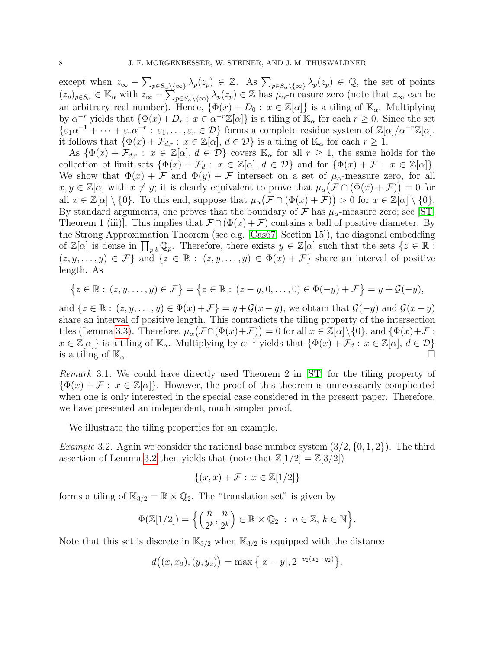except when  $z_{\infty} - \sum_{p \in S_{\alpha} \setminus {\{\infty\}}} \lambda_p(z_p) \in \mathbb{Z}$ . As  $\sum_{p \in S_{\alpha} \setminus {\{\infty\}}} \lambda_p(z_p) \in \mathbb{Q}$ , the set of points  $(z_p)_{p \in S_\alpha} \in \mathbb{K}_\alpha$  with  $z_\infty - \sum_{p \in S_\alpha \setminus \{\infty\}} \lambda_p(z_p) \in \mathbb{Z}$  has  $\mu_\alpha$ -measure zero (note that  $z_\infty$  can be an arbitrary real number). Hence,  $\{\Phi(x) + D_0 : x \in \mathbb{Z}[\alpha]\}$  is a tiling of  $\mathbb{K}_{\alpha}$ . Multiplying by  $\alpha^{-r}$  yields that  $\{\Phi(x)+D_r: x \in \alpha^{-r}\mathbb{Z}[\alpha]\}$  is a tiling of  $\mathbb{K}_{\alpha}$  for each  $r \geq 0$ . Since the set  $\{\varepsilon_1\alpha^{-1} + \cdots + \varepsilon_r\alpha^{-r} : \varepsilon_1,\ldots,\varepsilon_r \in \mathcal{D}\}\)$  forms a complete residue system of  $\mathbb{Z}[\alpha]/\alpha^{-r}\mathbb{Z}[\alpha],$ it follows that  $\{\Phi(x) + \mathcal{F}_{d,r} : x \in \mathbb{Z}[\alpha], d \in \mathcal{D}\}\$ is a tiling of  $\mathbb{K}_{\alpha}$  for each  $r \geq 1$ .

As  $\{\Phi(x) + \mathcal{F}_{d,r} : x \in \mathbb{Z}[\alpha], d \in \mathcal{D}\}$  covers  $\mathbb{K}_{\alpha}$  for all  $r \geq 1$ , the same holds for the collection of limit sets  $\{\Phi(x) + \mathcal{F}_d : x \in \mathbb{Z}[\alpha], d \in \mathcal{D}\}\$ and for  $\{\Phi(x) + \mathcal{F} : x \in \mathbb{Z}[\alpha]\}.$ We show that  $\Phi(x) + \mathcal{F}$  and  $\Phi(y) + \mathcal{F}$  intersect on a set of  $\mu_{\alpha}$ -measure zero, for all  $x, y \in \mathbb{Z}[\alpha]$  with  $x \neq y$ ; it is clearly equivalent to prove that  $\mu_\alpha(\mathcal{F} \cap (\Phi(x) + \mathcal{F})) = 0$  for all  $x \in \mathbb{Z}[\alpha] \setminus \{0\}$ . To this end, suppose that  $\mu_\alpha(\mathcal{F} \cap (\Phi(x) + \mathcal{F})) > 0$  for  $x \in \mathbb{Z}[\alpha] \setminus \{0\}$ . By standard arguments, one proves that the boundary of  $\mathcal F$  has  $\mu_{\alpha}$ -measure zero; see [\[ST,](#page-22-7) Theorem 1 (iii)]. This implies that  $\mathcal{F} \cap (\Phi(x) + \mathcal{F})$  contains a ball of positive diameter. By the Strong Approximation Theorem (see e.g. [\[Cas67,](#page-21-5) Section 15]), the diagonal embedding of  $\mathbb{Z}[\alpha]$  is dense in  $\prod_{p|b}\mathbb{Q}_p$ . Therefore, there exists  $y \in \mathbb{Z}[\alpha]$  such that the sets  $\{z \in \mathbb{R}$ :  $(z, y, \ldots, y) \in \mathcal{F} \}$  and  $\{z \in \mathbb{R} : (z, y, \ldots, y) \in \Phi(x) + \mathcal{F} \}$  share an interval of positive length. As

$$
\{z \in \mathbb{R} : (z, y, \dots, y) \in \mathcal{F}\} = \{z \in \mathbb{R} : (z - y, 0, \dots, 0) \in \Phi(-y) + \mathcal{F}\} = y + \mathcal{G}(-y),
$$

and  $\{z \in \mathbb{R} : (z, y, \dots, y) \in \Phi(x) + \mathcal{F}\}=y+\mathcal{G}(x-y)$ , we obtain that  $\mathcal{G}(-y)$  and  $\mathcal{G}(x-y)$ share an interval of positive length. This contradicts the tiling property of the intersection tiles (Lemma [3.3\)](#page-6-1). Therefore,  $\mu_{\alpha}(\mathcal{F} \cap (\Phi(x)+\mathcal{F})) = 0$  for all  $x \in \mathbb{Z}[\alpha] \setminus \{0\}$ , and  $\{\Phi(x)+\mathcal{F}:$  $x \in \mathbb{Z}[\alpha]$  is a tiling of  $\mathbb{K}_{\alpha}$ . Multiplying by  $\alpha^{-1}$  yields that  $\{\Phi(x) + \mathcal{F}_d : x \in \mathbb{Z}[\alpha], d \in \mathcal{D}\}$ is a tiling of  $\mathbb{K}_{\alpha}$ .

Remark 3.1. We could have directly used Theorem 2 in [\[ST\]](#page-22-7) for the tiling property of  $\{\Phi(x) + \mathcal{F}: x \in \mathbb{Z}[\alpha]\}.$  However, the proof of this theorem is unnecessarily complicated when one is only interested in the special case considered in the present paper. Therefore, we have presented an independent, much simpler proof.

We illustrate the tiling properties for an example.

*Example* 3.2. Again we consider the rational base number system  $(3/2, \{0, 1, 2\})$ . The third assertion of Lemma [3.2](#page-5-1) then yields that (note that  $\mathbb{Z}[1/2] = \mathbb{Z}[3/2]$ )

$$
\{(x,x)+\mathcal{F}: x \in \mathbb{Z}[1/2]\}
$$

forms a tiling of  $\mathbb{K}_{3/2} = \mathbb{R} \times \mathbb{Q}_2$ . The "translation set" is given by

$$
\Phi(\mathbb{Z}[1/2]) = \left\{ \left( \frac{n}{2^k}, \frac{n}{2^k} \right) \in \mathbb{R} \times \mathbb{Q}_2 \; : \; n \in \mathbb{Z}, \, k \in \mathbb{N} \right\}.
$$

Note that this set is discrete in  $\mathbb{K}_{3/2}$  when  $\mathbb{K}_{3/2}$  is equipped with the distance

$$
d((x, x_2), (y, y_2)) = \max\{|x - y|, 2^{-\nu_2(x_2 - y_2)}\}.
$$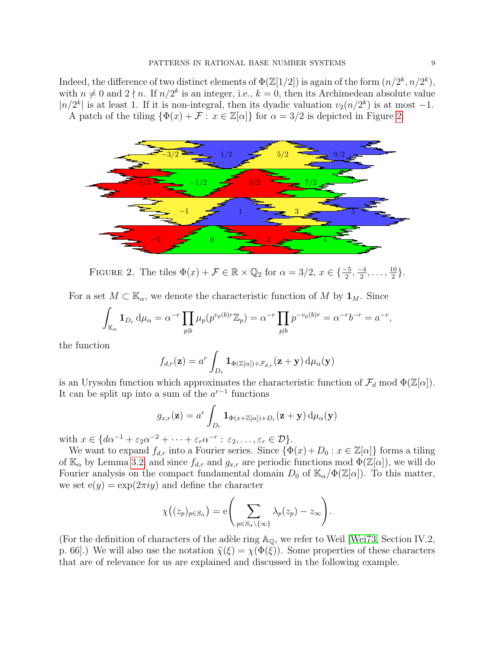Indeed, the difference of two distinct elements of  $\Phi(\mathbb{Z}[1/2])$  is again of the form  $(n/2^k, n/2^k)$ , with  $n \neq 0$  and  $2 \nmid n$ . If  $n/2^k$  is an integer, i.e.,  $k = 0$ , then its Archimedean absolute value  $|n/2^k|$  is at least 1. If it is non-integral, then its dyadic valuation  $v_2(n/2^k)$  is at most -1. A patch of the tiling  $\{\Phi(x) + \mathcal{F} : x \in \mathbb{Z}[\alpha]\}$  for  $\alpha = 3/2$  is depicted in Figure [2.](#page-8-0)



<span id="page-8-0"></span>FIGURE 2. The tiles  $\Phi(x) + \mathcal{F} \in \mathbb{R} \times \mathbb{Q}_2$  for  $\alpha = 3/2, x \in \{\frac{-5}{2}, \frac{-4}{2}\}$  $\frac{-4}{2}, \ldots, \frac{10}{2}$  $\frac{10}{2}$ .

For a set  $M \subset \mathbb{K}_{\alpha}$ , we denote the characteristic function of M by  $\mathbf{1}_M$ . Since

$$
\int_{\mathbb{K}_{\alpha}} \mathbf{1}_{D_r} d\mu_{\alpha} = \alpha^{-r} \prod_{p|b} \mu_p(p^{v_p(b)r} \mathbb{Z}_p) = \alpha^{-r} \prod_{p|b} p^{-v_p(b)r} = \alpha^{-r} b^{-r} = a^{-r},
$$

the function

$$
f_{d,r}(\mathbf{z}) = a^r \int_{D_r} \mathbf{1}_{\Phi(\mathbb{Z}[\alpha]) + \mathcal{F}_{d,r}}(\mathbf{z} + \mathbf{y}) \, \mathrm{d} \mu_\alpha(\mathbf{y})
$$

is an Urysohn function which approximates the characteristic function of  $\mathcal{F}_d$  mod  $\Phi(\mathbb{Z}[\alpha])$ . It can be split up into a sum of the  $a^{r-1}$  functions

$$
g_{x,r}(\mathbf{z}) = a^r \int_{D_r} \mathbf{1}_{\Phi(x+\mathbb{Z}[\alpha])+D_r}(\mathbf{z}+\mathbf{y}) \,d\mu_\alpha(\mathbf{y})
$$

with  $x \in \{d\alpha^{-1} + \varepsilon_2 \alpha^{-2} + \cdots + \varepsilon_r \alpha^{-r} : \varepsilon_2, \ldots, \varepsilon_r \in \mathcal{D}\}.$ 

We want to expand  $f_{d,r}$  into a Fourier series. Since  $\{\Phi(x) + D_0 : x \in \mathbb{Z}[\alpha]\}\)$  forms a tiling of  $\mathbb{K}_{\alpha}$  by Lemma [3.2,](#page-5-1) and since  $f_{d,r}$  and  $g_{x,r}$  are periodic functions mod  $\Phi(\mathbb{Z}[\alpha])$ , we will do Fourier analysis on the compact fundamental domain  $D_0$  of  $\mathbb{K}_{\alpha}/\Phi(\mathbb{Z}[\alpha])$ . To this matter, we set  $e(y) = exp(2\pi i y)$  and define the character

$$
\chi((z_p)_{p \in S_\alpha}) = e \Bigg(\sum_{p \in S_\alpha \setminus \{\infty\}} \lambda_p(z_p) - z_\infty\Bigg).
$$

(For the definition of characters of the adèle ring  $\mathbb{A}_{\mathbb{Q}}$ , we refer to Weil [\[Wei73,](#page-22-9) Section IV.2, p. 66.) We will also use the notation  $\tilde{\chi}(\xi) = \chi(\Phi(\xi))$ . Some properties of these characters that are of relevance for us are explained and discussed in the following example.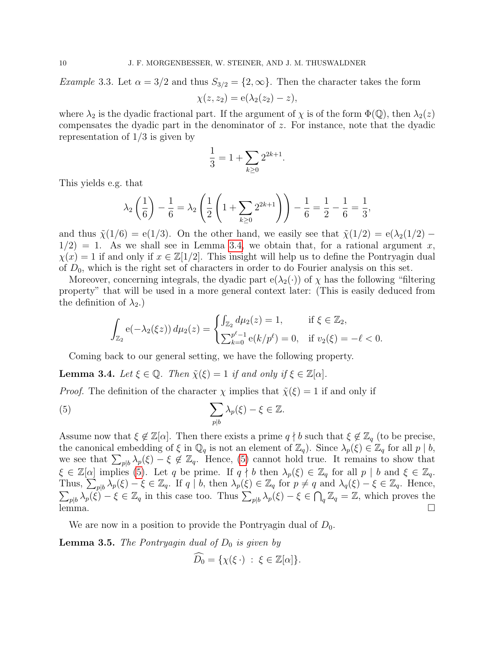*Example* 3.3. Let  $\alpha = 3/2$  and thus  $S_{3/2} = \{2, \infty\}$ . Then the character takes the form  $\chi(z, z_2) = e(\lambda_2(z_2) - z),$ 

where  $\lambda_2$  is the dyadic fractional part. If the argument of  $\chi$  is of the form  $\Phi(\mathbb{Q})$ , then  $\lambda_2(z)$ compensates the dyadic part in the denominator of z. For instance, note that the dyadic representation of  $1/3$  is given by

$$
\frac{1}{3} = 1 + \sum_{k \ge 0} 2^{2k+1}.
$$

This yields e.g. that

$$
\lambda_2 \left( \frac{1}{6} \right) - \frac{1}{6} = \lambda_2 \left( \frac{1}{2} \left( 1 + \sum_{k \ge 0} 2^{2k+1} \right) \right) - \frac{1}{6} = \frac{1}{2} - \frac{1}{6} = \frac{1}{3},
$$

and thus  $\tilde{\chi}(1/6) = e(1/3)$ . On the other hand, we easily see that  $\tilde{\chi}(1/2) = e(\lambda_2(1/2) 1/2$  = 1. As we shall see in Lemma [3.4,](#page-9-0) we obtain that, for a rational argument x,  $\chi(x) = 1$  if and only if  $x \in \mathbb{Z}[1/2]$ . This insight will help us to define the Pontryagin dual of  $D_0$ , which is the right set of characters in order to do Fourier analysis on this set.

Moreover, concerning integrals, the dyadic part  $e(\lambda_2(\cdot))$  of  $\chi$  has the following "filtering" property" that will be used in a more general context later: (This is easily deduced from the definition of  $\lambda_2$ .)

$$
\int_{\mathbb{Z}_2} e(-\lambda_2(\xi z)) d\mu_2(z) = \begin{cases} \int_{\mathbb{Z}_2} d\mu_2(z) = 1, & \text{if } \xi \in \mathbb{Z}_2, \\ \sum_{k=0}^{p^{\ell}-1} e(k/p^{\ell}) = 0, & \text{if } v_2(\xi) = -\ell < 0. \end{cases}
$$

Coming back to our general setting, we have the following property.

<span id="page-9-0"></span>**Lemma 3.4.** Let  $\xi \in \mathbb{Q}$ . Then  $\tilde{\chi}(\xi) = 1$  if and only if  $\xi \in \mathbb{Z}[\alpha]$ .

*Proof.* The definition of the character  $\chi$  implies that  $\tilde{\chi}(\xi) = 1$  if and only if

<span id="page-9-1"></span>(5) 
$$
\sum_{p|b} \lambda_p(\xi) - \xi \in \mathbb{Z}.
$$

Assume now that  $\xi \notin \mathbb{Z}[\alpha]$ . Then there exists a prime  $q \nmid b$  such that  $\xi \notin \mathbb{Z}_q$  (to be precise, the canonical embedding of  $\xi$  in  $\mathbb{Q}_q$  is not an element of  $\mathbb{Z}_q$ . Since  $\lambda_p(\xi) \in \mathbb{Z}_q$  for all  $p \mid b$ , we see that  $\sum_{p|b} \lambda_p(\xi) - \xi \notin \mathbb{Z}_q$ . Hence, [\(5\)](#page-9-1) cannot hold true. It remains to show that  $\xi \in \mathbb{Z}[\alpha]$  implies [\(5\)](#page-9-1). Let q be prime. If  $q \nmid b$  then  $\lambda_p(\xi) \in \mathbb{Z}_q$  for all  $p \mid b$  and  $\xi \in \mathbb{Z}_q$ . Thus,  $\sum_{p|b} \overline{\lambda}_p(\xi) - \xi \in \mathbb{Z}_q$ . If  $q \mid b$ , then  $\lambda_p(\xi) \in \mathbb{Z}_q$  for  $p \neq q$  and  $\lambda_q(\xi) - \xi \in \mathbb{Z}_q$ . Hence,  $\sum_{p|b} \lambda_p(\xi) - \xi \in \mathbb{Z}_q$  in this case too. Thus  $\sum_{p|b} \lambda_p(\xi) - \xi \in \bigcap_q \mathbb{Z}_q = \mathbb{Z}$ , which proves the  $\frac{d}{dx}$  lemma.

We are now in a position to provide the Pontryagin dual of  $D_0$ .

<span id="page-9-2"></span>**Lemma 3.5.** The Pontryagin dual of  $D_0$  is given by

$$
\widehat{D_0} = \{ \chi(\xi \cdot) \; : \; \xi \in \mathbb{Z}[\alpha] \}.
$$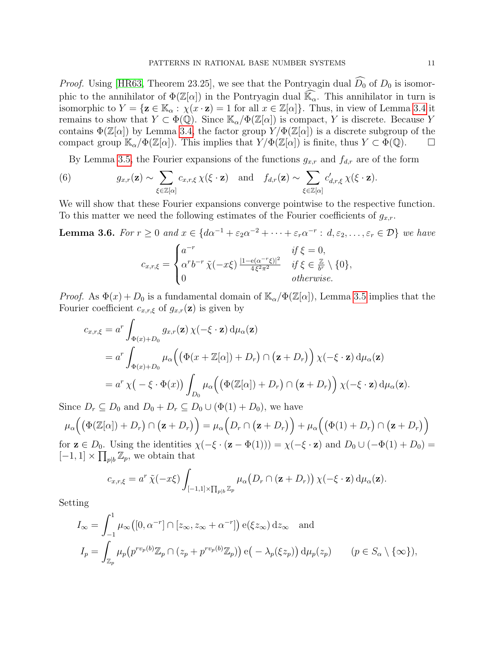*Proof.* Using [\[HR63,](#page-22-11) Theorem 23.25], we see that the Pontryagin dual  $\widehat{D}_0$  of  $D_0$  is isomorphic to the annihilator of  $\Phi(\mathbb{Z}[\alpha])$  in the Pontryagin dual  $\mathbb{K}_{\alpha}$ . This annihilator in turn is isomorphic to  $Y = {\mathbf{z} \in \mathbb{K}_{\alpha} : \chi(x \cdot \mathbf{z}) = 1 \text{ for all } x \in \mathbb{Z}[\alpha]}$ . Thus, in view of Lemma [3.4](#page-9-0) it remains to show that  $Y \subset \Phi(\mathbb{Q})$ . Since  $\mathbb{K}_{\alpha}/\Phi(\mathbb{Z}[\alpha])$  is compact, Y is discrete. Because Y contains  $\Phi(\mathbb{Z}[\alpha])$  by Lemma [3.4,](#page-9-0) the factor group  $Y/\Phi(\mathbb{Z}[\alpha])$  is a discrete subgroup of the compact group  $\mathbb{K}_{\alpha}/\Phi(\mathbb{Z}[\alpha])$ . This implies that  $Y/\Phi(\mathbb{Z}[\alpha])$  is finite, thus  $Y \subset \Phi(\mathbb{Q})$ .  $\Box$ 

<span id="page-10-0"></span>By Lemma [3.5,](#page-9-2) the Fourier expansions of the functions  $g_{x,r}$  and  $f_{d,r}$  are of the form

(6) 
$$
g_{x,r}(\mathbf{z}) \sim \sum_{\xi \in \mathbb{Z}[\alpha]} c_{x,r,\xi} \chi(\xi \cdot \mathbf{z}) \text{ and } f_{d,r}(\mathbf{z}) \sim \sum_{\xi \in \mathbb{Z}[\alpha]} c'_{d,r,\xi} \chi(\xi \cdot \mathbf{z}).
$$

We will show that these Fourier expansions converge pointwise to the respective function. To this matter we need the following estimates of the Fourier coefficients of  $g_{x,r}$ .

<span id="page-10-1"></span>**Lemma 3.6.** For  $r \ge 0$  and  $x \in \{d\alpha^{-1} + \varepsilon_2\alpha^{-2} + \cdots + \varepsilon_r\alpha^{-r} : d, \varepsilon_2, \ldots, \varepsilon_r \in \mathcal{D}\}\$  we have

$$
c_{x,r,\xi} = \begin{cases} a^{-r} & \text{if } \xi = 0, \\ \alpha^r b^{-r} \tilde{\chi}(-x\xi) \frac{|1 - e(\alpha^{-r}\xi)|^2}{4\xi^2 \pi^2} & \text{if } \xi \in \frac{\mathbb{Z}}{b^r} \setminus \{0\}, \\ 0 & \text{otherwise.} \end{cases}
$$

*Proof.* As  $\Phi(x) + D_0$  is a fundamental domain of  $\mathbb{K}_{\alpha}/\Phi(\mathbb{Z}[\alpha])$ , Lemma [3.5](#page-9-2) implies that the Fourier coefficient  $c_{x,r,\xi}$  of  $g_{x,r}(\mathbf{z})$  is given by

$$
c_{x,r,\xi} = a^r \int_{\Phi(x)+D_0} g_{x,r}(\mathbf{z}) \chi(-\xi \cdot \mathbf{z}) d\mu_\alpha(\mathbf{z})
$$
  
=  $a^r \int_{\Phi(x)+D_0} \mu_\alpha \Big( \Big( \Phi(x + \mathbb{Z}[\alpha]) + D_r \Big) \cap (\mathbf{z} + D_r) \Big) \chi(-\xi \cdot \mathbf{z}) d\mu_\alpha(\mathbf{z})$   
=  $a^r \chi(-\xi \cdot \Phi(x)) \int_{D_0} \mu_\alpha \Big( \Big( \Phi(\mathbb{Z}[\alpha]) + D_r \Big) \cap (\mathbf{z} + D_r) \Big) \chi(-\xi \cdot \mathbf{z}) d\mu_\alpha(\mathbf{z}).$ 

Since  $D_r \subseteq D_0$  and  $D_0 + D_r \subseteq D_0 \cup (\Phi(1) + D_0)$ , we have

$$
\mu_{\alpha}\Big(\big(\Phi(\mathbb{Z}[\alpha]) + D_r\big) \cap (\mathbf{z} + D_r\big)\Big) = \mu_{\alpha}\Big(D_r \cap (\mathbf{z} + D_r)\Big) + \mu_{\alpha}\Big(\big(\Phi(1) + D_r\big) \cap (\mathbf{z} + D_r)\Big)
$$
  
for  $\mathbf{z} \in D_0$ . Using the identities  $\chi(-\xi \cdot (\mathbf{z} - \Phi(1))) = \chi(-\xi \cdot \mathbf{z})$  and  $D_0 \cup (-\Phi(1) + D_0) =$ 

for  $\mathbf{z} \in D_0$ . Using the identities  $\chi(-\xi \cdot (\mathbf{z} - \Phi(1))) = \chi(-\xi \cdot \mathbf{z})$  and  $D_0 \cup (-\Phi(1) + D_0) =$  $[-1, 1] \times \prod_{p|b} \mathbb{Z}_p$ , we obtain that

$$
c_{x,r,\xi} = a^r \tilde{\chi}(-x\xi) \int_{[-1,1] \times \prod_{p|b} \mathbb{Z}_p} \mu_{\alpha} \big(D_r \cap (\mathbf{z} + D_r)\big) \chi(-\xi \cdot \mathbf{z}) d\mu_{\alpha}(\mathbf{z}).
$$

Setting

$$
I_{\infty} = \int_{-1}^{1} \mu_{\infty}([0, \alpha^{-r}] \cap [z_{\infty}, z_{\infty} + \alpha^{-r}]) e(\xi z_{\infty}) dz_{\infty} \text{ and}
$$
  
\n
$$
I_{p} = \int_{\mathbb{Z}_{p}} \mu_{p}(p^{r v_{p}(b)} \mathbb{Z}_{p} \cap (z_{p} + p^{r v_{p}(b)} \mathbb{Z}_{p})) e(-\lambda_{p}(\xi z_{p})) d\mu_{p}(z_{p}) \qquad (p \in S_{\alpha} \setminus \{\infty\}),
$$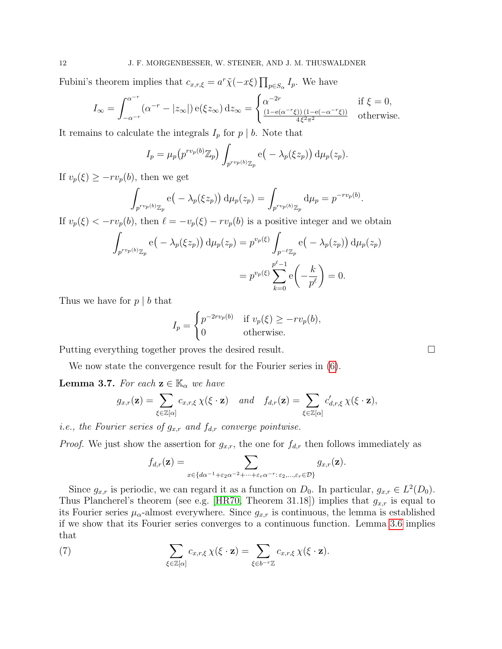Fubini's theorem implies that  $c_{x,r,\xi} = a^r \tilde{\chi}(-x\xi) \prod_{p \in S_\alpha} I_p$ . We have

$$
I_{\infty} = \int_{-\alpha^{-r}}^{\alpha^{-r}} (\alpha^{-r} - |z_{\infty}|) e(\xi z_{\infty}) dz_{\infty} = \begin{cases} \alpha^{-2r} & \text{if } \xi = 0, \\ \frac{(1 - e(\alpha^{-r}\xi))(1 - e(-\alpha^{-r}\xi))}{4\xi^2 \pi^2} & \text{otherwise.} \end{cases}
$$

It remains to calculate the integrals  $I_p$  for  $p \mid b$ . Note that

$$
I_p = \mu_p(p^{rv_p(b)}\mathbb{Z}_p) \int_{p^{rv_p(b)}\mathbb{Z}_p} e(-\lambda_p(\xi z_p)) d\mu_p(z_p).
$$

If  $v_p(\xi) \geq -rv_p(b)$ , then we get

$$
\int_{p^{r v_p(b)}\mathbb{Z}_p} \mathbf{e}\big(-\lambda_p(\xi z_p)\big) d\mu_p(z_p) = \int_{p^{r v_p(b)}\mathbb{Z}_p} d\mu_p = p^{-r v_p(b)}.
$$

If  $v_p(\xi) < -rv_p(b)$ , then  $\ell = -v_p(\xi) - rv_p(b)$  is a positive integer and we obtain

$$
\int_{p^{r v_p(b)}\mathbb{Z}_p} e(-\lambda_p(\xi z_p)) d\mu_p(z_p) = p^{v_p(\xi)} \int_{p^{-\ell} \mathbb{Z}_p} e(-\lambda_p(z_p)) d\mu_p(z_p)
$$

$$
= p^{v_p(\xi)} \sum_{k=0}^{p^{\ell}-1} e\left(-\frac{k}{p^{\ell}}\right) = 0.
$$

Thus we have for  $p \mid b$  that

$$
I_p = \begin{cases} p^{-2rv_p(b)} & \text{if } v_p(\xi) \ge -rv_p(b), \\ 0 & \text{otherwise.} \end{cases}
$$

Putting everything together proves the desired result.

We now state the convergence result for the Fourier series in [\(6\)](#page-10-0).

**Lemma 3.7.** For each  $z \in \mathbb{K}_{\alpha}$  we have

$$
g_{x,r}(\mathbf{z}) = \sum_{\xi \in \mathbb{Z}[\alpha]} c_{x,r,\xi} \chi(\xi \cdot \mathbf{z}) \quad and \quad f_{d,r}(\mathbf{z}) = \sum_{\xi \in \mathbb{Z}[\alpha]} c'_{d,r,\xi} \chi(\xi \cdot \mathbf{z}),
$$

*i.e.*, the Fourier series of  $g_{x,r}$  and  $f_{d,r}$  converge pointwise.

*Proof.* We just show the assertion for  $g_{x,r}$ , the one for  $f_{d,r}$  then follows immediately as

<span id="page-11-0"></span>
$$
f_{d,r}(\mathbf{z}) = \sum_{x \in \{d\alpha^{-1} + \varepsilon_2\alpha^{-2} + \dots + \varepsilon_r\alpha^{-r} : \varepsilon_2, \dots, \varepsilon_r \in \mathcal{D}\}} g_{x,r}(\mathbf{z}).
$$

Since  $g_{x,r}$  is periodic, we can regard it as a function on  $D_0$ . In particular,  $g_{x,r} \in L^2(D_0)$ . Thus Plancherel's theorem (see e.g. [\[HR70,](#page-22-12) Theorem 31.18]) implies that  $g_{x,r}$  is equal to its Fourier series  $\mu_{\alpha}$ -almost everywhere. Since  $g_{x,r}$  is continuous, the lemma is established if we show that its Fourier series converges to a continuous function. Lemma [3.6](#page-10-1) implies that

(7) 
$$
\sum_{\xi \in \mathbb{Z}[\alpha]} c_{x,r,\xi} \chi(\xi \cdot \mathbf{z}) = \sum_{\xi \in b^{-r} \mathbb{Z}} c_{x,r,\xi} \chi(\xi \cdot \mathbf{z}).
$$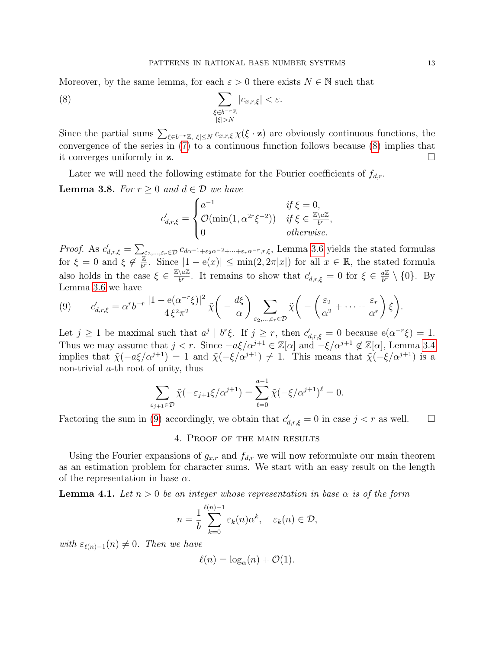Moreover, by the same lemma, for each  $\varepsilon > 0$  there exists  $N \in \mathbb{N}$  such that

(8) 
$$
\sum_{\substack{\xi \in b^{-r}\mathbb{Z} \\ |\xi| > N}} |c_{x,r,\xi}| < \varepsilon.
$$

Since the partial sums  $\sum_{\xi \in b^{-r}\mathbb{Z}, |\xi| \leq N} c_{x,r,\xi} \chi(\xi \cdot \mathbf{z})$  are obviously continuous functions, the convergence of the series in [\(7\)](#page-11-0) to a continuous function follows because [\(8\)](#page-12-1) implies that it converges uniformly in z.

Later we will need the following estimate for the Fourier coefficients of  $f_{d,r}$ .

<span id="page-12-4"></span>**Lemma 3.8.** For  $r \geq 0$  and  $d \in \mathcal{D}$  we have

<span id="page-12-1"></span>
$$
c'_{d,r,\xi} = \begin{cases} a^{-1} & \text{if } \xi = 0, \\ \mathcal{O}(\min(1, \alpha^{2r}\xi^{-2})) & \text{if } \xi \in \frac{\mathbb{Z}\setminus a\mathbb{Z}}{b^r}, \\ 0 & \text{otherwise.} \end{cases}
$$

*Proof.* As  $c'_{d,r,\xi} = \sum_{\varepsilon_2,\dots,\varepsilon_r \in \mathcal{D}} c_{d\alpha^{-1}+\varepsilon_2\alpha^{-2}+\dots+\varepsilon_r\alpha^{-r},r,\xi}$ , Lemma [3.6](#page-10-1) yields the stated formulas for  $\xi = 0$  and  $\xi \notin \frac{\mathbb{Z}}{b^r}$  $\frac{\mathbb{Z}}{b^r}$ . Since  $|1 - e(x)| \le \min(2, 2\pi |x|)$  for all  $x \in \mathbb{R}$ , the stated formula also holds in the case  $\xi \in \frac{\mathbb{Z}\setminus a\mathbb{Z}}{b^r}$  $\frac{\partial \alpha}{\partial b'}$ . It remains to show that  $c'_{d,r,\xi} = 0$  for  $\xi \in \frac{a\mathbb{Z}}{b'}$  $\frac{a\mathbb{Z}}{b^r} \setminus \{0\}$ . By Lemma [3.6](#page-10-1) we have

<span id="page-12-2"></span>
$$
(9) \qquad c'_{d,r,\xi} = \alpha^r b^{-r} \, \frac{|1 - e(\alpha^{-r}\xi)|^2}{4\,\xi^2\pi^2} \, \tilde{\chi}\bigg(-\frac{d\xi}{\alpha}\bigg) \sum_{\varepsilon_2,\dots,\varepsilon_r \in \mathcal{D}} \tilde{\chi}\bigg(-\bigg(\frac{\varepsilon_2}{\alpha^2} + \dots + \frac{\varepsilon_r}{\alpha^r}\bigg)\,\xi\bigg).
$$

Let  $j \geq 1$  be maximal such that  $a^j \mid b^r \xi$ . If  $j \geq r$ , then  $c'_{d,r,\xi} = 0$  because  $e(\alpha^{-r}\xi) = 1$ . Thus we may assume that  $j < r$ . Since  $-a\xi/\alpha^{j+1} \in \mathbb{Z}[\alpha]$  and  $-\xi/\alpha^{j+1} \notin \mathbb{Z}[\alpha]$ , Lemma [3.4](#page-9-0) implies that  $\tilde{\chi}(-a\xi/\alpha^{j+1}) = 1$  and  $\tilde{\chi}(-\xi/\alpha^{j+1}) \neq 1$ . This means that  $\tilde{\chi}(-\xi/\alpha^{j+1})$  is a non-trivial a-th root of unity, thus

$$
\sum_{\varepsilon_{j+1}\in\mathcal{D}} \tilde{\chi}(-\varepsilon_{j+1}\xi/\alpha^{j+1}) = \sum_{\ell=0}^{a-1} \tilde{\chi}(-\xi/\alpha^{j+1})^{\ell} = 0.
$$

Factoring the sum in [\(9\)](#page-12-2) accordingly, we obtain that  $c'_{d,r,\xi} = 0$  in case  $j < r$  as well.  $\square$ 

## 4. Proof of the main results

<span id="page-12-0"></span>Using the Fourier expansions of  $g_{x,r}$  and  $f_{d,r}$  we will now reformulate our main theorem as an estimation problem for character sums. We start with an easy result on the length of the representation in base  $\alpha$ .

<span id="page-12-3"></span>**Lemma 4.1.** Let  $n > 0$  be an integer whose representation in base  $\alpha$  is of the form

$$
n = \frac{1}{b} \sum_{k=0}^{\ell(n)-1} \varepsilon_k(n) \alpha^k, \quad \varepsilon_k(n) \in \mathcal{D},
$$

with  $\varepsilon_{\ell(n)-1}(n) \neq 0$ . Then we have

$$
\ell(n) = \log_{\alpha}(n) + \mathcal{O}(1).
$$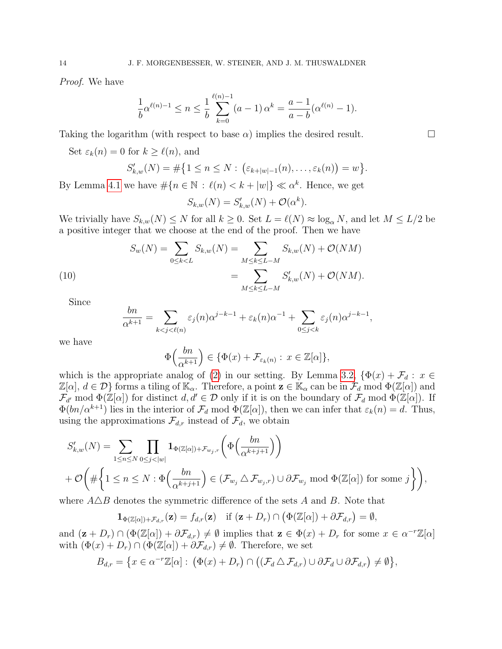Proof. We have

$$
\frac{1}{b}\alpha^{\ell(n)-1} \le n \le \frac{1}{b}\sum_{k=0}^{\ell(n)-1} (a-1)\alpha^k = \frac{a-1}{a-b}(\alpha^{\ell(n)}-1).
$$

Taking the logarithm (with respect to base  $\alpha$ ) implies the desired result.

Set  $\varepsilon_k(n) = 0$  for  $k \ge \ell(n)$ , and

$$
S'_{k,w}(N) = \#\{1 \leq n \leq N : (\varepsilon_{k+|w|-1}(n), \ldots, \varepsilon_k(n)) = w\}.
$$

By Lemma [4.1](#page-12-3) we have  $\#\{n \in \mathbb{N} : \ell(n) < k + |w|\} \ll \alpha^k$ . Hence, we get

$$
S_{k,w}(N) = S'_{k,w}(N) + \mathcal{O}(\alpha^k).
$$

We trivially have  $S_{k,w}(N) \leq N$  for all  $k \geq 0$ . Set  $L = \ell(N) \approx \log_{\alpha} N$ , and let  $M \leq L/2$  be a positive integer that we choose at the end of the proof. Then we have

<span id="page-13-0"></span>(10) 
$$
S_w(N) = \sum_{0 \le k < L} S_{k,w}(N) = \sum_{M \le k \le L-M} S_{k,w}(N) + \mathcal{O}(NM)
$$

$$
= \sum_{M \le k \le L-M} S'_{k,w}(N) + \mathcal{O}(NM).
$$

Since

$$
\frac{bn}{\alpha^{k+1}} = \sum_{k < j < \ell(n)} \varepsilon_j(n) \alpha^{j-k-1} + \varepsilon_k(n) \alpha^{-1} + \sum_{0 \le j < k} \varepsilon_j(n) \alpha^{j-k-1},
$$

we have

$$
\Phi\left(\frac{bn}{\alpha^{k+1}}\right) \in \{\Phi(x) + \mathcal{F}_{\varepsilon_k(n)} : x \in \mathbb{Z}[\alpha]\},\
$$

which is the appropriate analog of [\(2\)](#page-2-0) in our setting. By Lemma [3.2,](#page-5-1)  $\{\Phi(x) + \mathcal{F}_d : x \in$  $\mathbb{Z}[\alpha], d \in \mathcal{D}\}\)$  forms a tiling of  $\mathbb{K}_{\alpha}$ . Therefore, a point  $\mathbf{z} \in \mathbb{K}_{\alpha}$  can be in  $\mathcal{F}_d$  mod  $\Phi(\mathbb{Z}[\alpha])$  and  $\mathcal{F}_{d'}$  mod  $\Phi(\mathbb{Z}[\alpha])$  for distinct  $d, d' \in \mathcal{D}$  only if it is on the boundary of  $\mathcal{F}_d$  mod  $\Phi(\mathbb{Z}[\alpha])$ . If  $\Phi(bn/\alpha^{k+1})$  lies in the interior of  $\mathcal{F}_d$  mod  $\Phi(\mathbb{Z}[\alpha])$ , then we can infer that  $\varepsilon_k(n) = d$ . Thus, using the approximations  $\mathcal{F}_{d,r}$  instead of  $\mathcal{F}_d$ , we obtain

$$
S'_{k,w}(N) = \sum_{1 \le n \le N} \prod_{0 \le j < |w|} \mathbf{1}_{\Phi(\mathbb{Z}[\alpha]) + \mathcal{F}_{w_j,r}} \left( \Phi\left(\frac{bn}{\alpha^{k+j+1}}\right) \right)
$$
  
+  $\mathcal{O}\left(\#\left\{1 \le n \le N : \Phi\left(\frac{bn}{\alpha^{k+j+1}}\right) \in (\mathcal{F}_{w_j} \triangle \mathcal{F}_{w_j,r}) \cup \partial \mathcal{F}_{w_j} \text{ mod } \Phi(\mathbb{Z}[\alpha]) \text{ for some } j \right\}\right),$ 

where  $A\triangle B$  denotes the symmetric difference of the sets A and B. Note that

 $\mathbf{1}_{\Phi(\mathbb{Z}[\alpha])+\mathcal{F}_{d,r}}(\mathbf{z}) = f_{d,r}(\mathbf{z}) \quad \text{if } (\mathbf{z}+D_r) \cap (\Phi(\mathbb{Z}[\alpha]) + \partial \mathcal{F}_{d,r}) = \emptyset,$ 

and  $(\mathbf{z} + D_r) \cap (\Phi(\mathbb{Z}[\alpha]) + \partial \mathcal{F}_{d,r}) \neq \emptyset$  implies that  $\mathbf{z} \in \Phi(x) + D_r$  for some  $x \in \alpha^{-r}\mathbb{Z}[\alpha]$ with  $(\Phi(x) + D_r) \cap (\Phi(\mathbb{Z}[\alpha]) + \partial \mathcal{F}_{d,r}) \neq \emptyset$ . Therefore, we set

$$
B_{d,r} = \{x \in \alpha^{-r}\mathbb{Z}[\alpha]: (\Phi(x) + D_r) \cap ((\mathcal{F}_d \triangle \mathcal{F}_{d,r}) \cup \partial \mathcal{F}_d \cup \partial \mathcal{F}_{d,r}) \neq \emptyset\},\
$$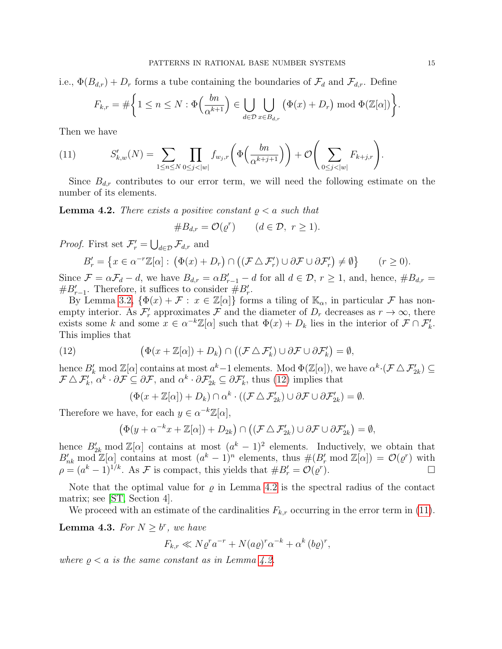i.e.,  $\Phi(B_{d,r}) + D_r$  forms a tube containing the boundaries of  $\mathcal{F}_d$  and  $\mathcal{F}_{d,r}$ . Define

$$
F_{k,r} = \#\bigg\{1 \leq n \leq N : \Phi\Big(\frac{bn}{\alpha^{k+1}}\Big) \in \bigcup_{d \in \mathcal{D}} \bigcup_{x \in B_{d,r}} \big(\Phi(x) + D_r\big) \bmod \Phi(\mathbb{Z}[\alpha])\bigg\}.
$$

Then we have

<span id="page-14-2"></span>(11) 
$$
S'_{k,w}(N) = \sum_{1 \le n \le N} \prod_{0 \le j < |w|} f_{w_j,r}\left(\Phi\left(\frac{bn}{\alpha^{k+j+1}}\right)\right) + \mathcal{O}\left(\sum_{0 \le j < |w|} F_{k+j,r}\right).
$$

Since  $B_{d,r}$  contributes to our error term, we will need the following estimate on the number of its elements.

<span id="page-14-1"></span>**Lemma 4.2.** There exists a positive constant  $\rho < a$  such that

#Bd,r = O(% r ) (d ∈ D, r ≥ 1).

*Proof.* First set  $\mathcal{F}'_r = \bigcup_{d \in \mathcal{D}} \mathcal{F}_{d,r}$  and

$$
B'_{r} = \{ x \in \alpha^{-r}\mathbb{Z}[\alpha] : \left( \Phi(x) + D_{r} \right) \cap \left( \left( \mathcal{F} \triangle \mathcal{F}'_{r} \right) \cup \partial \mathcal{F} \cup \partial \mathcal{F}'_{r} \right) \neq \emptyset \} \qquad (r \geq 0).
$$

Since  $\mathcal{F} = \alpha \mathcal{F}_d - d$ , we have  $B_{d,r} = \alpha B'_{r-1} - d$  for all  $d \in \mathcal{D}$ ,  $r \ge 1$ , and, hence,  $\#B_{d,r} = d$  $#B'_{r-1}$ . Therefore, it suffices to consider  $#B'_{r}$ .

By Lemma [3.2,](#page-5-1)  $\{\Phi(x) + \mathcal{F} : x \in \mathbb{Z}[\alpha]\}\$  forms a tiling of  $\mathbb{K}_{\alpha}$ , in particular  $\mathcal{F}$  has nonempty interior. As  $\mathcal{F}'_r$  approximates  $\mathcal F$  and the diameter of  $D_r$  decreases as  $r \to \infty$ , there exists some k and some  $x \in \alpha^{-k}\mathbb{Z}[\alpha]$  such that  $\Phi(x) + D_k$  lies in the interior of  $\mathcal{F} \cap \mathcal{F}'_k$ . This implies that

(12) 
$$
\left(\Phi(x+\mathbb{Z}[\alpha])+D_k\right)\cap\left((\mathcal{F}\triangle\mathcal{F}'_k)\cup\partial\mathcal{F}\cup\partial\mathcal{F}'_k\right)=\emptyset,
$$

hence  $B'_k \text{ mod } \mathbb{Z}[\alpha]$  contains at most  $a^k-1$  elements. Mod  $\Phi(\mathbb{Z}[\alpha])$ , we have  $\alpha^k \cdot (\mathcal{F} \triangle \mathcal{F}'_{2k}) \subseteq$  $\mathcal{F} \triangle \mathcal{F}'_k$ ,  $\alpha^k \cdot \partial \mathcal{F} \subseteq \partial \mathcal{F}$ , and  $\alpha^k \cdot \partial \mathcal{F}'_{2k} \subseteq \partial \mathcal{F}'_k$ , thus [\(12\)](#page-14-0) implies that

<span id="page-14-0"></span>
$$
(\Phi(x+\mathbb{Z}[\alpha]) + D_k) \cap \alpha^k \cdot ((\mathcal{F} \triangle \mathcal{F}'_{2k}) \cup \partial \mathcal{F} \cup \partial \mathcal{F}'_{2k}) = \emptyset.
$$

Therefore we have, for each  $y \in \alpha^{-k}\mathbb{Z}[\alpha]$ ,

$$
(\Phi(y+\alpha^{-k}x+\mathbb{Z}[\alpha])+D_{2k})\cap ((\mathcal{F}\triangle\mathcal{F}_{2k}')\cup\partial\mathcal{F}\cup\partial\mathcal{F}_{2k}')=\emptyset,
$$

hence  $B'_{2k}$  mod  $\mathbb{Z}[\alpha]$  contains at most  $(a^k - 1)^2$  elements. Inductively, we obtain that  $B'_{nk} \mod \mathbb{Z}[\alpha]$  contains at most  $(a^k - 1)^n$  elements, thus  $\#(B'_r \mod \mathbb{Z}[\alpha]) = \mathcal{O}(\varrho^r)$  with  $\rho = (a^k - 1)^{1/k}$ . As F is compact, this yields that  $\#B'_r = \mathcal{O}(\varrho^r)$  $\Box$ 

Note that the optimal value for  $\rho$  in Lemma [4.2](#page-14-1) is the spectral radius of the contact matrix; see [\[ST,](#page-22-7) Section 4].

We proceed with an estimate of the cardinalities  $F_{k,r}$  occurring in the error term in [\(11\)](#page-14-2).

<span id="page-14-3"></span>**Lemma 4.3.** For  $N \geq b^r$ , we have

$$
F_{k,r} \ll N\varrho^r a^{-r} + N(a\varrho)^r \alpha^{-k} + \alpha^k (b\varrho)^r,
$$

where  $\rho < a$  is the same constant as in Lemma [4.2.](#page-14-1)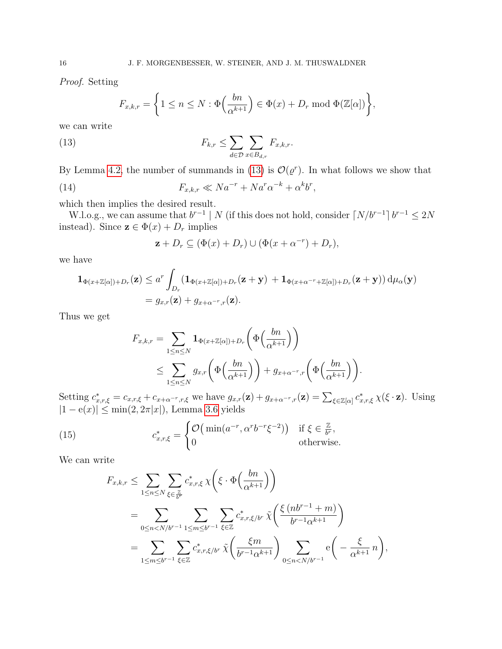Proof. Setting

$$
F_{x,k,r} = \left\{1 \leq n \leq N : \Phi\left(\frac{bn}{\alpha^{k+1}}\right) \in \Phi(x) + D_r \bmod \Phi(\mathbb{Z}[\alpha])\right\},\
$$

we can write

<span id="page-15-0"></span>(13) 
$$
F_{k,r} \leq \sum_{d \in \mathcal{D}} \sum_{x \in B_{d,r}} F_{x,k,r}.
$$

By Lemma [4.2,](#page-14-1) the number of summands in [\(13\)](#page-15-0) is  $\mathcal{O}(\varrho^r)$ . In what follows we show that

(14) 
$$
F_{x,k,r} \ll Na^{-r} + Na^r\alpha^{-k} + \alpha^k b^r,
$$

which then implies the desired result.

W.l.o.g., we can assume that  $b^{r-1}$  | N (if this does not hold, consider  $\lceil N/b^{r-1} \rceil b^{r-1} \leq 2N$ instead). Since  $\mathbf{z} \in \Phi(x) + D_r$  implies

<span id="page-15-2"></span>
$$
\mathbf{z} + D_r \subseteq (\Phi(x) + D_r) \cup (\Phi(x + \alpha^{-r}) + D_r),
$$

we have

$$
\mathbf{1}_{\Phi(x+\mathbb{Z}[\alpha])+D_r}(\mathbf{z}) \leq a^r \int_{D_r} (\mathbf{1}_{\Phi(x+\mathbb{Z}[\alpha])+D_r}(\mathbf{z}+\mathbf{y}) + \mathbf{1}_{\Phi(x+\alpha^{-r}+\mathbb{Z}[\alpha])+D_r}(\mathbf{z}+\mathbf{y})) d\mu_\alpha(\mathbf{y})
$$
  
=  $g_{x,r}(\mathbf{z}) + g_{x+\alpha^{-r},r}(\mathbf{z}).$ 

Thus we get

$$
F_{x,k,r} = \sum_{1 \le n \le N} \mathbf{1}_{\Phi(x+\mathbb{Z}[\alpha])+D_r} \left(\Phi\left(\frac{bn}{\alpha^{k+1}}\right)\right)
$$
  

$$
\le \sum_{1 \le n \le N} g_{x,r} \left(\Phi\left(\frac{bn}{\alpha^{k+1}}\right)\right) + g_{x+\alpha^{-r},r} \left(\Phi\left(\frac{bn}{\alpha^{k+1}}\right)\right).
$$

Setting  $c^*_{x,r,\xi} = c_{x,r,\xi} + c_{x+\alpha^{-r},r,\xi}$  we have  $g_{x,r}(\mathbf{z}) + g_{x+\alpha^{-r},r}(\mathbf{z}) = \sum_{\xi \in \mathbb{Z}[\alpha]} c^*_{x,r,\xi} \chi(\xi \cdot \mathbf{z})$ . Using  $|1 - e(x)| \le \min(2, 2\pi |x|)$ , Lemma [3.6](#page-10-1) yields

(15) 
$$
c_{x,r,\xi}^* = \begin{cases} \mathcal{O}\left(\min(a^{-r}, \alpha^r b^{-r} \xi^{-2})\right) & \text{if } \xi \in \frac{\mathbb{Z}}{b^r}, \\ 0 & \text{otherwise.} \end{cases}
$$

We can write

<span id="page-15-1"></span>
$$
F_{x,k,r} \leq \sum_{1 \leq n \leq N} \sum_{\xi \in \frac{\mathbb{Z}}{b^r}} c_{x,r,\xi}^* \chi \left( \xi \cdot \Phi \left( \frac{bn}{\alpha^{k+1}} \right) \right)
$$
  
= 
$$
\sum_{0 \leq n < N/b^{r-1}} \sum_{1 \leq m \leq b^{r-1}} \sum_{\xi \in \mathbb{Z}} c_{x,r,\xi/b^r}^* \tilde{\chi} \left( \frac{\xi \left( nb^{r-1} + m \right)}{b^{r-1} \alpha^{k+1}} \right)
$$
  
= 
$$
\sum_{1 \leq m \leq b^{r-1}} \sum_{\xi \in \mathbb{Z}} c_{x,r,\xi/b^r}^* \tilde{\chi} \left( \frac{\xi m}{b^{r-1} \alpha^{k+1}} \right) \sum_{0 \leq n < N/b^{r-1}} e \left( - \frac{\xi}{\alpha^{k+1}} n \right),
$$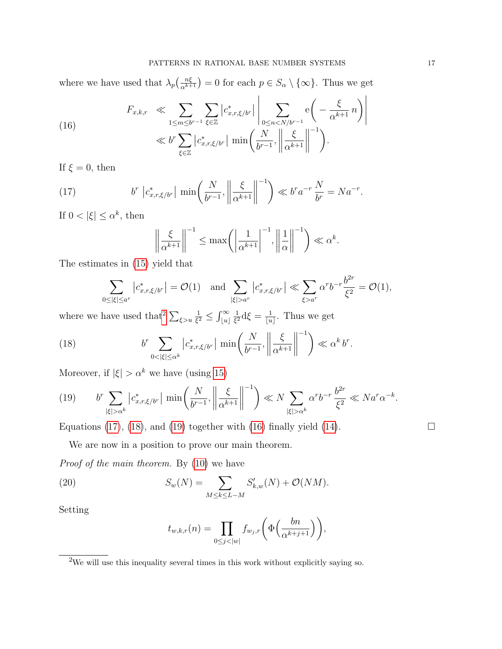where we have used that  $\lambda_p(\frac{n\xi}{\alpha^{k+1}})=0$  for each  $p \in S_\alpha \setminus \{\infty\}$ . Thus we get

<span id="page-16-4"></span>(16) 
$$
F_{x,k,r} \ll \sum_{1 \leq m \leq b^{r-1}} \sum_{\xi \in \mathbb{Z}} |c_{x,r,\xi/b^r}^*| \left| \sum_{0 \leq n < N/b^{r-1}} \mathbf{e} \left( -\frac{\xi}{\alpha^{k+1}} n \right) \right|
$$

$$
\ll b^r \sum_{\xi \in \mathbb{Z}} |c_{x,r,\xi/b^r}^*| \min \left( \frac{N}{b^{r-1}}, \left\| \frac{\xi}{\alpha^{k+1}} \right\|^{-1} \right).
$$

If  $\xi = 0$ , then

(17) 
$$
b^r \left| c^*_{x,r,\xi/b^r} \right| \min \left( \frac{N}{b^{r-1}}, \left\| \frac{\xi}{\alpha^{k+1}} \right\|^{-1} \right) \ll b^r a^{-r} \frac{N}{b^r} = Na^{-r}.
$$

If  $0 < |\xi| \le \alpha^k$ , then

<span id="page-16-1"></span>
$$
\left\| \frac{\xi}{\alpha^{k+1}} \right\|^{-1} \le \max \left( \left| \frac{1}{\alpha^{k+1}} \right|^{-1}, \left| \left| \frac{1}{\alpha} \right| \right|^{-1} \right) \ll \alpha^k.
$$

The estimates in [\(15\)](#page-15-1) yield that

<span id="page-16-2"></span>
$$
\sum_{0\leq |\xi|\leq a^r} \left|c_{x,r,\xi/b^r}^*\right| = \mathcal{O}(1) \quad \text{and} \quad \sum_{|\xi|> a^r} \left|c_{x,r,\xi/b^r}^*\right| \ll \sum_{\xi>a^r} \alpha^r b^{-r} \frac{b^{2r}}{\xi^2} = \mathcal{O}(1),
$$

where we have used that  $\sum_{\xi>u}$ 1  $\frac{1}{\xi^2} \leq \int_{\lfloor u \rfloor}^{\infty}$ 1  $\frac{1}{\xi^2} d\xi = \frac{1}{|u|}$  $\frac{1}{|u|}$ . Thus we get

(18) 
$$
b^r \sum_{0 < |\xi| \le \alpha^k} \left| c^*_{x,r,\xi/b^r} \right| \min \left( \frac{N}{b^{r-1}}, \left\| \frac{\xi}{\alpha^{k+1}} \right\|^{-1} \right) \ll \alpha^k b^r.
$$

Moreover, if  $|\xi| > \alpha^k$  we have (using [15\)](#page-15-1)

<span id="page-16-3"></span>
$$
(19) \qquad b^r \sum_{|\xi| > \alpha^k} \left| c^*_{x,r,\xi/b^r} \right| \min\left(\frac{N}{b^{r-1}}, \left\| \frac{\xi}{\alpha^{k+1}} \right\|^{-1}\right) \ll N \sum_{|\xi| > \alpha^k} \alpha^r b^{-r} \frac{b^{2r}}{\xi^2} \ll Na^r \alpha^{-k}.
$$

Equations [\(17\)](#page-16-1), [\(18\)](#page-16-2), and [\(19\)](#page-16-3) together with [\(16\)](#page-16-4) finally yield [\(14\)](#page-15-2).  $\Box$ 

We are now in a position to prove our main theorem.

Proof of the main theorem. By [\(10\)](#page-13-0) we have

(20) 
$$
S_w(N) = \sum_{M \le k \le L-M} S'_{k,w}(N) + \mathcal{O}(NM).
$$

Setting

<span id="page-16-5"></span>
$$
t_{w,k,r}(n) = \prod_{0 \le j < |w|} f_{w_j,r}\bigg(\Phi\Big(\frac{bn}{\alpha^{k+j+1}}\Big)\bigg),\,
$$

<span id="page-16-0"></span> $^{2}\mathrm{We}$  will use this inequality several times in this work without explicitly saying so.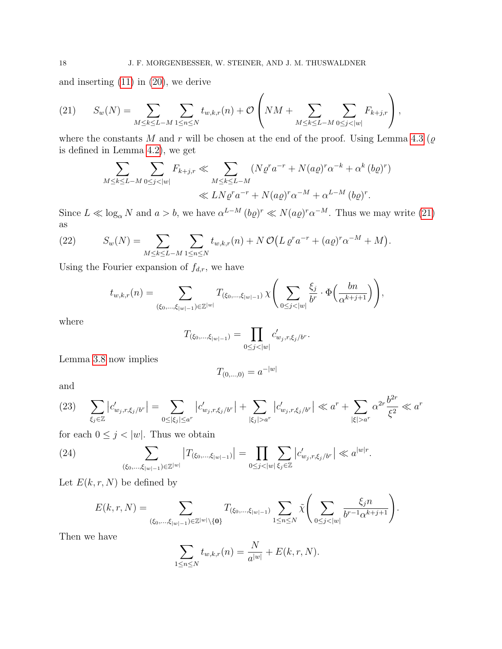and inserting [\(11\)](#page-14-2) in [\(20\)](#page-16-5), we derive

<span id="page-17-0"></span>(21) 
$$
S_w(N) = \sum_{M \le k \le L-M} \sum_{1 \le n \le N} t_{w,k,r}(n) + \mathcal{O}\left(NM + \sum_{M \le k \le L-M} \sum_{0 \le j < |w|} F_{k+j,r}\right),
$$

where the constants M and r will be chosen at the end of the proof. Using Lemma [4.3](#page-14-3) ( $\varrho$ is defined in Lemma [4.2\)](#page-14-1), we get

$$
\sum_{M \le k \le L-M} \sum_{0 \le j < |w|} F_{k+j,r} \ll \sum_{M \le k \le L-M} (N \varrho^r a^{-r} + N(a\varrho)^r \alpha^{-k} + \alpha^k (b\varrho)^r) \ll LN \varrho^r a^{-r} + N(a\varrho)^r \alpha^{-M} + \alpha^{L-M} (b\varrho)^r.
$$

Since  $L \ll \log_{\alpha} N$  and  $a > b$ , we have  $\alpha^{L-M} (b \varrho)^r \ll N(a \varrho)^r \alpha^{-M}$ . Thus we may write [\(21\)](#page-17-0) as

<span id="page-17-3"></span>(22) 
$$
S_w(N) = \sum_{M \le k \le L-M} \sum_{1 \le n \le N} t_{w,k,r}(n) + N \mathcal{O}(L \varrho^r a^{-r} + (a \varrho)^r a^{-M} + M).
$$

Using the Fourier expansion of  $f_{d,r}$ , we have

$$
t_{w,k,r}(n) = \sum_{(\xi_0,\dots,\xi_{|w|-1}) \in \mathbb{Z}^{|w|}} T_{(\xi_0,\dots,\xi_{|w|-1})} \chi \Bigg( \sum_{0 \le j < |w|} \frac{\xi_j}{b^r} \cdot \Phi \Big( \frac{bn}{\alpha^{k+j+1}} \Big) \Bigg),
$$

where

$$
T_{(\xi_0,\ldots,\xi_{|w|-1})} = \prod_{0 \le j < |w|} c'_{w_j,r,\xi_j/b^r}.
$$

Lemma [3.8](#page-12-4) now implies

$$
T_{(0,\ldots,0)}=a^{-\vert w\vert}
$$

and

<span id="page-17-2"></span>
$$
(23) \quad \sum_{\xi_j \in \mathbb{Z}} \left| c'_{w_j, r, \xi_j/b^r} \right| = \sum_{0 \le |\xi_j| \le a^r} \left| c'_{w_j, r, \xi_j/b^r} \right| + \sum_{|\xi_j| > a^r} \left| c'_{w_j, r, \xi_j/b^r} \right| \ll a^r + \sum_{|\xi| > a^r} a^{2r} \frac{b^{2r}}{\xi^2} \ll a^r
$$

for each  $0 \leq j < |w|$ . Thus we obtain

<span id="page-17-1"></span>(24) 
$$
\sum_{(\xi_0,\ldots,\xi_{|w|-1})\in\mathbb{Z}^{|w|}}\left|T_{(\xi_0,\ldots,\xi_{|w|-1})}\right| = \prod_{0\leq j<|w|}\sum_{\xi_j\in\mathbb{Z}}\left|c'_{w_j,r,\xi_j/b^r}\right| \ll a^{|w|r}.
$$

Let  $E(k, r, N)$  be defined by

$$
E(k,r,N) = \sum_{(\xi_0,\ldots,\xi_{|w|-1}) \in \mathbb{Z}^{|w|}\setminus\{\mathbf{0}\}} T_{(\xi_0,\ldots,\xi_{|w|-1})} \sum_{1 \le n \le N} \tilde{\chi} \left( \sum_{0 \le j < |w|} \frac{\xi_j n}{b^{r-1} \alpha^{k+j+1}} \right).
$$

Then we have

$$
\sum_{1 \le n \le N} t_{w,k,r}(n) = \frac{N}{a^{|w|}} + E(k,r,N).
$$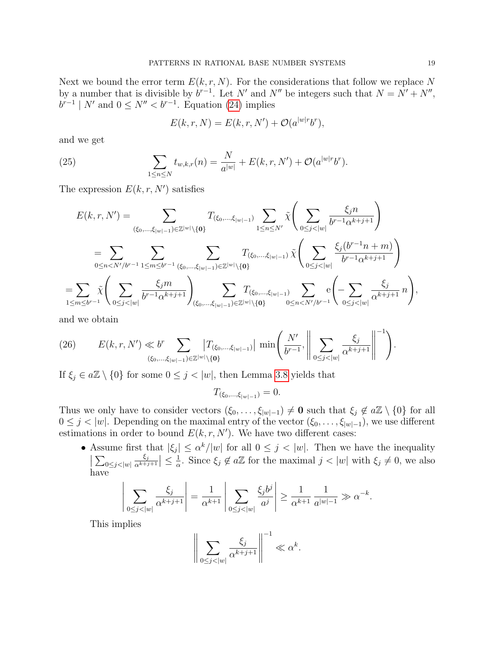Next we bound the error term  $E(k, r, N)$ . For the considerations that follow we replace N by a number that is divisible by  $b^{r-1}$ . Let N' and N'' be integers such that  $N = N' + N''$ ,  $b^{r-1}$  | N' and  $0 \le N'' < b^{r-1}$ . Equation [\(24\)](#page-17-1) implies

<span id="page-18-0"></span>
$$
E(k,r,N) = E(k,r,N') + \mathcal{O}(a^{|w|r}b^r),
$$

and we get

(25) 
$$
\sum_{1 \le n \le N} t_{w,k,r}(n) = \frac{N}{a^{|w|}} + E(k,r,N') + \mathcal{O}(a^{|w|r}b^r).
$$

The expression  $E(k, r, N')$  satisfies

$$
E(k, r, N') = \sum_{(\xi_0, \dots, \xi_{|w|-1}) \in \mathbb{Z}^{|w|} \setminus \{0\}} T_{(\xi_0, \dots, \xi_{|w|-1})} \sum_{1 \le n \le N'} \tilde{\chi} \left( \sum_{0 \le j < |w|} \frac{\xi_j n}{b^{r-1} \alpha^{k+j+1}} \right)
$$
\n
$$
= \sum_{0 \le n < N'/b^{r-1}} \sum_{1 \le m \le b^{r-1}} \sum_{(\xi_0, \dots, \xi_{|w|-1}) \in \mathbb{Z}^{|w|} \setminus \{0\}} T_{(\xi_0, \dots, \xi_{|w|-1})} \tilde{\chi} \left( \sum_{0 \le j < |w|} \frac{\xi_j (b^{r-1} n + m)}{b^{r-1} \alpha^{k+j+1}} \right)
$$
\n
$$
= \sum_{1 \le m \le b^{r-1}} \tilde{\chi} \left( \sum_{0 \le j < |w|} \frac{\xi_j m}{b^{r-1} \alpha^{k+j+1}} \right) \sum_{(\xi_0, \dots, \xi_{|w|-1}) \in \mathbb{Z}^{|w|} \setminus \{0\}} T_{(\xi_0, \dots, \xi_{|w|-1})} \sum_{0 \le n < N'/b^{r-1}} e \left( - \sum_{0 \le j < |w|} \frac{\xi_j}{\alpha^{k+j+1}} n \right)
$$

and we obtain

(26) 
$$
E(k,r,N') \ll b^r \sum_{(\xi_0,\ldots,\xi_{|w|-1}) \in \mathbb{Z}^{|w|}\setminus{\{\mathbf{0}\}}} \left|T_{(\xi_0,\ldots,\xi_{|w|-1})}\right| \min\left(\frac{N'}{b^{r-1}}, \left\|\sum_{0 \leq j < |w|} \frac{\xi_j}{\alpha^{k+j+1}}\right\|^{-1}\right).
$$

If  $\xi_i \in a\mathbb{Z} \setminus \{0\}$  for some  $0 \leq j < |w|$ , then Lemma [3.8](#page-12-4) yields that

$$
T_{(\xi_0,\ldots,\xi_{|w|-1})}=0.
$$

Thus we only have to consider vectors  $(\xi_0, \ldots, \xi_{|w|-1}) \neq \mathbf{0}$  such that  $\xi_j \notin a\mathbb{Z} \setminus \{0\}$  for all  $0 \leq j < |w|$ . Depending on the maximal entry of the vector  $(\xi_0, \ldots, \xi_{|w|-1})$ , we use different estimations in order to bound  $E(k, r, N')$ . We have two different cases:

• Assume first that  $|\xi_j| \leq \alpha^k/|w|$  for all  $0 \leq j < |w|$ . Then we have the inequality  $\sum_{0 \leq j < |w|}$  $\xi_j$  $\frac{\xi_j}{\alpha^{k+j+1}} \Big| \leq \frac{1}{\alpha}$  $\frac{1}{\alpha}$ . Since  $\xi_j \notin a\mathbb{Z}$  for the maximal  $j < |w|$  with  $\xi_j \neq 0$ , we also have

$$
\left| \sum_{0 \le j < |w|} \frac{\xi_j}{\alpha^{k+j+1}} \right| = \frac{1}{\alpha^{k+1}} \left| \sum_{0 \le j < |w|} \frac{\xi_j b^j}{a^j} \right| \ge \frac{1}{\alpha^{k+1}} \frac{1}{a^{|w|-1}} \gg \alpha^{-k}.
$$

This implies

$$
\bigg\|\sum_{0\leq j<|w|}\frac{\xi_j}{\alpha^{k+j+1}}\bigg\|^{-1}\ll \alpha^k.
$$

,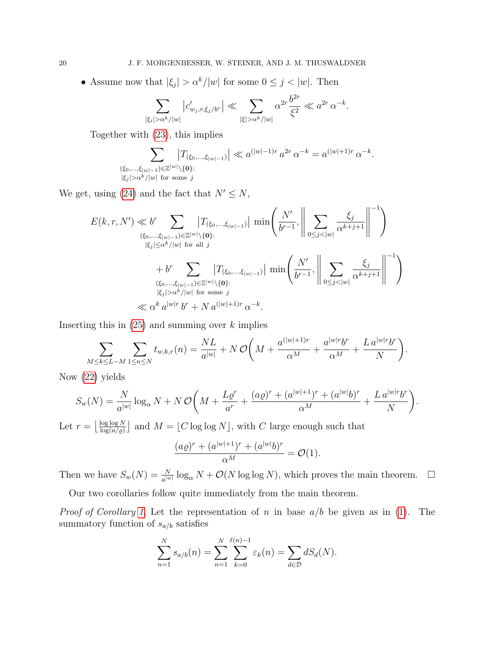• Assume now that  $|\xi_j| > \alpha^k/|w|$  for some  $0 \le j < |w|$ . Then

$$
\sum_{|\xi_i| > \alpha^k/|w|} |c'_{w_j,r,\xi_j/b^r}| \ll \sum_{|\xi| > \alpha^k/|w|} \alpha^{2r} \frac{b^{2r}}{\xi^2} \ll a^{2r} \alpha^{-k}.
$$

Together with [\(23\)](#page-17-2), this implies

$$
\sum_{\substack{(\xi_0,\ldots,\xi_{|w|-1})\in\mathbb{Z}^{|w|}\setminus\{0\}:\\ |\xi_j|>\alpha^k/|w| \text{ for some } j}} \left|T_{(\xi_0,\ldots,\xi_{|w|-1})}\right| \ll a^{(|w|-1)r} a^{2r} \alpha^{-k} = a^{(|w|+1)r} \alpha^{-k}.
$$

We get, using [\(24\)](#page-17-1) and the fact that  $N' \leq N$ ,

$$
E(k, r, N') \ll b^r \sum_{\substack{(\xi_0, \ldots, \xi_{|w|-1}) \in \mathbb{Z}^{|w|} \setminus \{\mathbf{0}\}: \\ |\xi_j| \le \alpha^k / |w| \text{ for all } j}} \left| T_{(\xi_0, \ldots, \xi_{|w|-1})} \right| \min\left(\frac{N'}{b^{r-1}}, \left\| \sum_{0 \le j < |w|} \frac{\xi_j}{\alpha^{k+j+1}} \right\|^{-1}\right)
$$
  
+ 
$$
b^r \sum_{\substack{(\xi_0, \ldots, \xi_{|w|-1}) \in \mathbb{Z}^{|w|} \setminus \{\mathbf{0}\}: \\ |\xi_j| > \alpha^k / |w| \text{ for some } j}} \left| T_{(\xi_0, \ldots, \xi_{|w|-1})} \right| \min\left(\frac{N'}{b^{r-1}}, \left\| \sum_{0 \le j < |w|} \frac{\xi_j}{\alpha^{k+j+1}} \right\|^{-1}\right)
$$
  

$$
\ll \alpha^k a^{|w|r} b^r + N a^{(|w|+1)r} \alpha^{-k}.
$$

Inserting this in  $(25)$  and summing over k implies

$$
\sum_{M\leq k\leq L-M}\sum_{1\leq n\leq N}t_{w,k,r}(n)=\frac{NL}{a^{|w|}}+N\,\mathcal{O}\bigg(M+\frac{a^{(|w|+1)r}}{\alpha^M}+\frac{a^{|w|r}b^r}{\alpha^M}+\frac{L\,a^{|w|r}b^r}{N}\bigg).
$$

Now [\(22\)](#page-17-3) yields

$$
S_w(N) = \frac{N}{a^{|w|}} \log_\alpha N + N \mathcal{O}\left(M + \frac{L\varrho^r}{a^r} + \frac{(a\varrho)^r + (a^{|w|+1})^r + (a^{|w|}b)^r}{\alpha^M} + \frac{L\,a^{|w|r}b^r}{N}\right)
$$

.

Let  $r = \frac{\log \log N}{\log (a/a)}$  $\frac{\log \log N}{\log(a/\varrho)}$  and  $M = \lfloor C \log \log N \rfloor$ , with C large enough such that

$$
\frac{(a\varrho)^r + (a^{|w|+1})^r + (a^{|w|}b)^r}{\alpha^M} = \mathcal{O}(1).
$$

Then we have  $S_w(N) = \frac{N}{a^{|w|}} \log_{\alpha} N + \mathcal{O}(N \log \log N)$ , which proves the main theorem.  $\Box$ Our two corollaries follow quite immediately from the main theorem.

*Proof of Corollary [1.](#page-2-1)* Let the representation of n in base  $a/b$  be given as in [\(1\)](#page-1-0). The summatory function of  $s_{a/b}$  satisfies

$$
\sum_{n=1}^{N} s_{a/b}(n) = \sum_{n=1}^{N} \sum_{k=0}^{\ell(n)-1} \varepsilon_k(n) = \sum_{d \in \mathcal{D}} dS_d(N).
$$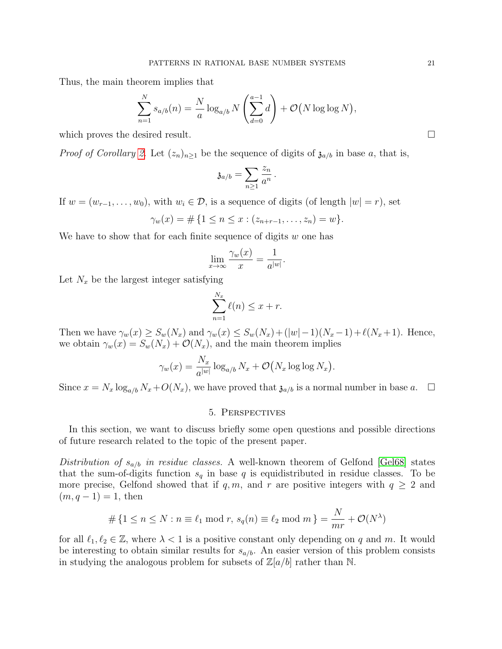Thus, the main theorem implies that

$$
\sum_{n=1}^{N} s_{a/b}(n) = \frac{N}{a} \log_{a/b} N\left(\sum_{d=0}^{a-1} d\right) + \mathcal{O}\left(N \log \log N\right),
$$

which proves the desired result.  $\Box$ 

*Proof of Corollary [2.](#page-2-2)* Let  $(z_n)_{n\geq 1}$  be the sequence of digits of  $\mathfrak{z}_{a/b}$  in base a, that is,

$$
\mathfrak{z}_{a/b}=\sum_{n\geq 1}\frac{z_n}{a^n}.
$$

If  $w = (w_{r-1}, \ldots, w_0)$ , with  $w_i \in \mathcal{D}$ , is a sequence of digits (of length  $|w| = r$ ), set

$$
\gamma_w(x) = \# \{ 1 \le n \le x : (z_{n+r-1}, \dots, z_n) = w \}.
$$

We have to show that for each finite sequence of digits  $w$  one has

$$
\lim_{x \to \infty} \frac{\gamma_w(x)}{x} = \frac{1}{a^{|w|}}.
$$

Let  $N_x$  be the largest integer satisfying

$$
\sum_{n=1}^{N_x} \ell(n) \le x + r.
$$

Then we have  $\gamma_w(x) \ge S_w(N_x)$  and  $\gamma_w(x) \le S_w(N_x) + (|w| - 1)(N_x - 1) + \ell(N_x + 1)$ . Hence, we obtain  $\gamma_w(x) = S_w(N_x) + \mathcal{O}(N_x)$ , and the main theorem implies

$$
\gamma_w(x) = \frac{N_x}{a^{|w|}} \log_{a/b} N_x + \mathcal{O}(N_x \log \log N_x).
$$

Since  $x = N_x \log_{a/b} N_x + O(N_x)$ , we have proved that  $\mathfrak{z}_{a/b}$  is a normal number in base a.  $\Box$ 

### 5. Perspectives

<span id="page-20-0"></span>In this section, we want to discuss briefly some open questions and possible directions of future research related to the topic of the present paper.

Distribution of  $s_{a/b}$  in residue classes. A well-known theorem of Gelfond [\[Gel68\]](#page-22-0) states that the sum-of-digits function  $s_q$  in base q is equidistributed in residue classes. To be more precise, Gelfond showed that if q, m, and r are positive integers with  $q \geq 2$  and  $(m, q - 1) = 1$ , then

$$
\#\left\{1 \leq n \leq N : n \equiv \ell_1 \bmod r, \ s_q(n) \equiv \ell_2 \bmod m\right\} = \frac{N}{mr} + \mathcal{O}(N^{\lambda})
$$

for all  $\ell_1, \ell_2 \in \mathbb{Z}$ , where  $\lambda < 1$  is a positive constant only depending on q and m. It would be interesting to obtain similar results for  $s_{a/b}$ . An easier version of this problem consists in studying the analogous problem for subsets of  $\mathbb{Z}[a/b]$  rather than N.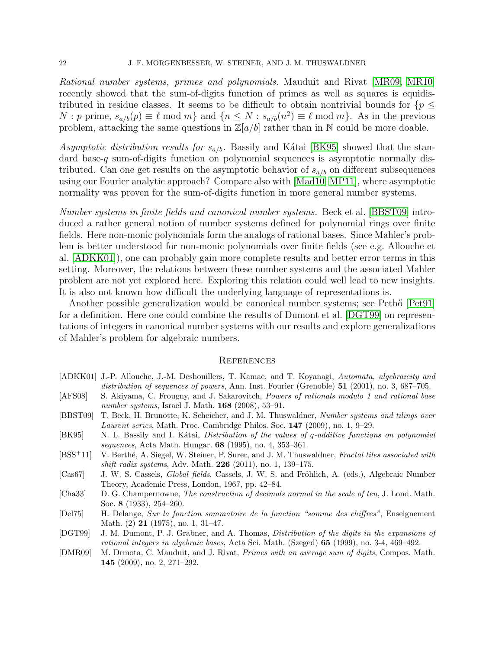Rational number systems, primes and polynomials. Mauduit and Rivat [\[MR09,](#page-22-3) [MR10\]](#page-22-1) recently showed that the sum-of-digits function of primes as well as squares is equidistributed in residue classes. It seems to be difficult to obtain nontrivial bounds for  $\{p \leq$  $N : p$  prime,  $s_{a/b}(p) \equiv \ell \mod m$  and  $\{n \leq N : s_{a/b}(n^2) \equiv \ell \mod m\}$ . As in the previous problem, attacking the same questions in  $\mathbb{Z}[a/b]$  rather than in N could be more doable.

Asymptotic distribution results for  $s_{a/b}$ . Bassily and Kátai [\[BK95\]](#page-21-6) showed that the standard base-q sum-of-digits function on polynomial sequences is asymptotic normally distributed. Can one get results on the asymptotic behavior of  $s_{a/b}$  on different subsequences using our Fourier analytic approach? Compare also with [\[Mad10,](#page-22-13) [MP11\]](#page-22-14), where asymptotic normality was proven for the sum-of-digits function in more general number systems.

Number systems in finite fields and canonical number systems. Beck et al. [\[BBST09\]](#page-21-7) introduced a rather general notion of number systems defined for polynomial rings over finite fields. Here non-monic polynomials form the analogs of rational bases. Since Mahler's problem is better understood for non-monic polynomials over finite fields (see e.g. Allouche et al. [\[ADKK01\]](#page-21-8)), one can probably gain more complete results and better error terms in this setting. Moreover, the relations between these number systems and the associated Mahler problem are not yet explored here. Exploring this relation could well lead to new insights. It is also not known how difficult the underlying language of representations is.

Another possible generalization would be canonical number systems; see Peth<sup>"</sup> [Pet<sub>91</sub>] for a definition. Here one could combine the results of Dumont et al. [\[DGT99\]](#page-21-9) on representations of integers in canonical number systems with our results and explore generalizations of Mahler's problem for algebraic numbers.

### **REFERENCES**

- <span id="page-21-8"></span>[ADKK01] J.-P. Allouche, J.-M. Deshouillers, T. Kamae, and T. Koyanagi, Automata, algebraicity and distribution of sequences of powers, Ann. Inst. Fourier (Grenoble) 51 (2001), no. 3, 687–705.
- <span id="page-21-2"></span>[AFS08] S. Akiyama, C. Frougny, and J. Sakarovitch, Powers of rationals modulo 1 and rational base number systems, Israel J. Math. **168** (2008), 53–91.
- <span id="page-21-7"></span>[BBST09] T. Beck, H. Brunotte, K. Scheicher, and J. M. Thuswaldner, Number systems and tilings over Laurent series, Math. Proc. Cambridge Philos. Soc. 147 (2009), no. 1, 9–29.
- <span id="page-21-6"></span>[BK95] N. L. Bassily and I. Kátai, *Distribution of the values of q-additive functions on polynomial* sequences, Acta Math. Hungar. 68 (1995), no. 4, 353–361.
- <span id="page-21-4"></span>[BSS<sup>+</sup>11] V. Berthé, A. Siegel, W. Steiner, P. Surer, and J. M. Thuswaldner, Fractal tiles associated with *shift radix systems*, Adv. Math. **226** (2011), no. 1, 139–175.
- <span id="page-21-5"></span>[Cas67] J. W. S. Cassels, *Global fields*, Cassels, J. W. S. and Fröhlich, A. (eds.), Algebraic Number Theory, Academic Press, London, 1967, pp. 42–84.
- <span id="page-21-3"></span>[Cha33] D. G. Champernowne, *The construction of decimals normal in the scale of ten*, J. Lond. Math. Soc. 8 (1933), 254–260.
- <span id="page-21-0"></span>[Del75] H. Delange, Sur la fonction sommatoire de la fonction "somme des chiffres", Enseignement Math. (2) 21 (1975), no. 1, 31–47.
- <span id="page-21-9"></span>[DGT99] J. M. Dumont, P. J. Grabner, and A. Thomas, Distribution of the digits in the expansions of rational integers in algebraic bases, Acta Sci. Math. (Szeged) 65 (1999), no. 3-4, 469–492.
- <span id="page-21-1"></span>[DMR09] M. Drmota, C. Mauduit, and J. Rivat, Primes with an average sum of digits, Compos. Math. 145 (2009), no. 2, 271–292.